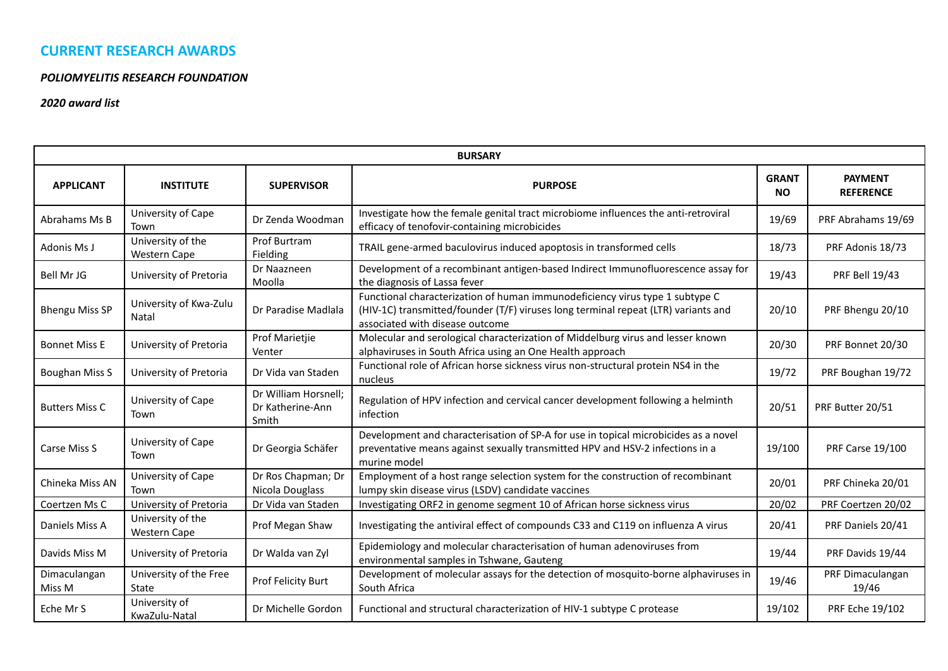# **CURRENT RESEARCH AWARDS**

#### *POLIOMYELITIS RESEARCH FOUNDATION*

### *2020 award list*

| <b>BURSARY</b>         |                                          |                                                   |                                                                                                                                                                                                       |                           |                                    |  |  |
|------------------------|------------------------------------------|---------------------------------------------------|-------------------------------------------------------------------------------------------------------------------------------------------------------------------------------------------------------|---------------------------|------------------------------------|--|--|
| <b>APPLICANT</b>       | <b>INSTITUTE</b>                         | <b>SUPERVISOR</b>                                 | <b>PURPOSE</b>                                                                                                                                                                                        | <b>GRANT</b><br><b>NO</b> | <b>PAYMENT</b><br><b>REFERENCE</b> |  |  |
| Abrahams Ms B          | University of Cape<br>Town               | Dr Zenda Woodman                                  | Investigate how the female genital tract microbiome influences the anti-retroviral<br>efficacy of tenofovir-containing microbicides                                                                   | 19/69                     | PRF Abrahams 19/69                 |  |  |
| Adonis Ms J            | University of the<br><b>Western Cape</b> | Prof Burtram<br>Fielding                          | TRAIL gene-armed baculovirus induced apoptosis in transformed cells                                                                                                                                   | 18/73                     | PRF Adonis 18/73                   |  |  |
| Bell Mr JG             | University of Pretoria                   | Dr Naazneen<br>Moolla                             | Development of a recombinant antigen-based Indirect Immunofluorescence assay for<br>the diagnosis of Lassa fever                                                                                      | 19/43                     | <b>PRF Bell 19/43</b>              |  |  |
| <b>Bhengu Miss SP</b>  | University of Kwa-Zulu<br>Natal          | Dr Paradise Madlala                               | Functional characterization of human immunodeficiency virus type 1 subtype C<br>(HIV-1C) transmitted/founder (T/F) viruses long terminal repeat (LTR) variants and<br>associated with disease outcome | 20/10                     | PRF Bhengu 20/10                   |  |  |
| <b>Bonnet Miss E</b>   | University of Pretoria                   | Prof Marietjie<br>Venter                          | Molecular and serological characterization of Middelburg virus and lesser known<br>alphaviruses in South Africa using an One Health approach                                                          | 20/30                     | PRF Bonnet 20/30                   |  |  |
| <b>Boughan Miss S</b>  | University of Pretoria                   | Dr Vida van Staden                                | Functional role of African horse sickness virus non-structural protein NS4 in the<br>nucleus                                                                                                          | 19/72                     | PRF Boughan 19/72                  |  |  |
| <b>Butters Miss C</b>  | University of Cape<br>Town               | Dr William Horsnell;<br>Dr Katherine-Ann<br>Smith | Regulation of HPV infection and cervical cancer development following a helminth<br>infection                                                                                                         | 20/51                     | PRF Butter 20/51                   |  |  |
| Carse Miss S           | University of Cape<br>Town               | Dr Georgia Schäfer                                | Development and characterisation of SP-A for use in topical microbicides as a novel<br>preventative means against sexually transmitted HPV and HSV-2 infections in a<br>murine model                  | 19/100                    | <b>PRF Carse 19/100</b>            |  |  |
| Chineka Miss AN        | University of Cape<br>Town               | Dr Ros Chapman; Dr<br>Nicola Douglass             | Employment of a host range selection system for the construction of recombinant<br>lumpy skin disease virus (LSDV) candidate vaccines                                                                 | 20/01                     | PRF Chineka 20/01                  |  |  |
| Coertzen Ms C          | University of Pretoria                   | Dr Vida van Staden                                | Investigating ORF2 in genome segment 10 of African horse sickness virus                                                                                                                               | 20/02                     | PRF Coertzen 20/02                 |  |  |
| Daniels Miss A         | University of the<br><b>Western Cape</b> | Prof Megan Shaw                                   | Investigating the antiviral effect of compounds C33 and C119 on influenza A virus                                                                                                                     | 20/41                     | PRF Daniels 20/41                  |  |  |
| Davids Miss M          | University of Pretoria                   | Dr Walda van Zyl                                  | Epidemiology and molecular characterisation of human adenoviruses from<br>environmental samples in Tshwane, Gauteng                                                                                   | 19/44                     | PRF Davids 19/44                   |  |  |
| Dimaculangan<br>Miss M | University of the Free<br>State          | Prof Felicity Burt                                | Development of molecular assays for the detection of mosquito-borne alphaviruses in<br>South Africa                                                                                                   | 19/46                     | PRF Dimaculangan<br>19/46          |  |  |
| Eche Mr S              | University of<br>KwaZulu-Natal           | Dr Michelle Gordon                                | Functional and structural characterization of HIV-1 subtype C protease                                                                                                                                | 19/102                    | PRF Eche 19/102                    |  |  |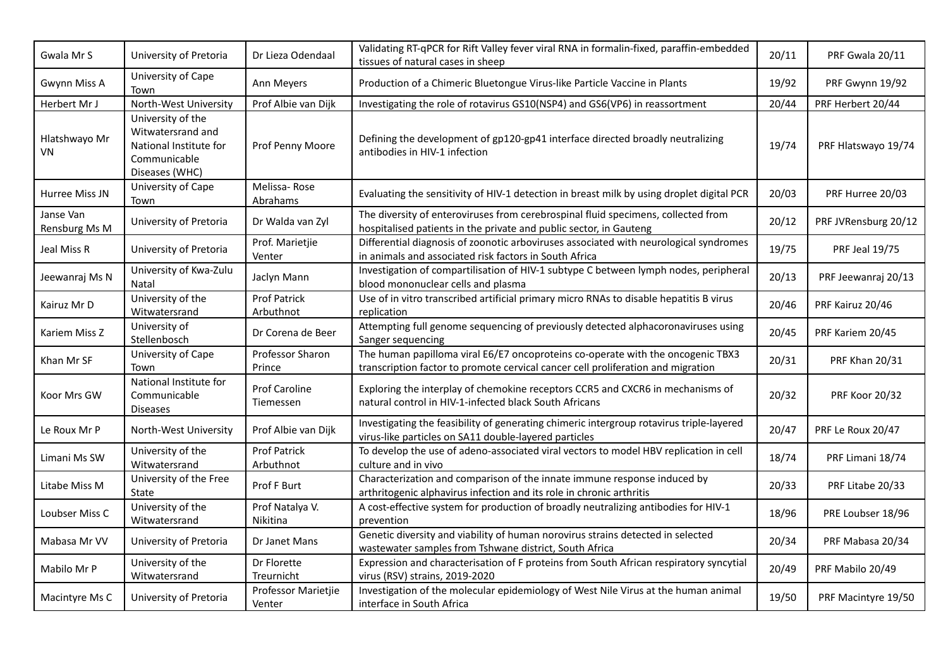| Gwala Mr S                 | University of Pretoria                                                                             | Dr Lieza Odendaal                | Validating RT-qPCR for Rift Valley fever viral RNA in formalin-fixed, paraffin-embedded<br>tissues of natural cases in sheep                                        | 20/11 | PRF Gwala 20/11      |
|----------------------------|----------------------------------------------------------------------------------------------------|----------------------------------|---------------------------------------------------------------------------------------------------------------------------------------------------------------------|-------|----------------------|
| Gwynn Miss A               | University of Cape<br>Town                                                                         | Ann Meyers                       | Production of a Chimeric Bluetongue Virus-like Particle Vaccine in Plants                                                                                           | 19/92 | PRF Gwynn 19/92      |
| Herbert Mr J               | North-West University                                                                              | Prof Albie van Dijk              | Investigating the role of rotavirus GS10(NSP4) and GS6(VP6) in reassortment                                                                                         | 20/44 | PRF Herbert 20/44    |
| Hlatshwayo Mr<br>VN        | University of the<br>Witwatersrand and<br>National Institute for<br>Communicable<br>Diseases (WHC) | Prof Penny Moore                 | Defining the development of gp120-gp41 interface directed broadly neutralizing<br>antibodies in HIV-1 infection                                                     | 19/74 | PRF Hlatswayo 19/74  |
| Hurree Miss JN             | University of Cape<br>Town                                                                         | Melissa-Rose<br>Abrahams         | Evaluating the sensitivity of HIV-1 detection in breast milk by using droplet digital PCR                                                                           | 20/03 | PRF Hurree 20/03     |
| Janse Van<br>Rensburg Ms M | University of Pretoria                                                                             | Dr Walda van Zyl                 | The diversity of enteroviruses from cerebrospinal fluid specimens, collected from<br>hospitalised patients in the private and public sector, in Gauteng             | 20/12 | PRF JVRensburg 20/12 |
| Jeal Miss R                | University of Pretoria                                                                             | Prof. Marietjie<br>Venter        | Differential diagnosis of zoonotic arboviruses associated with neurological syndromes<br>in animals and associated risk factors in South Africa                     | 19/75 | PRF Jeal 19/75       |
| Jeewanraj Ms N             | University of Kwa-Zulu<br>Natal                                                                    | Jaclyn Mann                      | Investigation of compartilisation of HIV-1 subtype C between lymph nodes, peripheral<br>blood mononuclear cells and plasma                                          | 20/13 | PRF Jeewanraj 20/13  |
| Kairuz Mr D                | University of the<br>Witwatersrand                                                                 | <b>Prof Patrick</b><br>Arbuthnot | Use of in vitro transcribed artificial primary micro RNAs to disable hepatitis B virus<br>replication                                                               | 20/46 | PRF Kairuz 20/46     |
| Kariem Miss Z              | University of<br>Stellenbosch                                                                      | Dr Corena de Beer                | Attempting full genome sequencing of previously detected alphacoronaviruses using<br>Sanger sequencing                                                              | 20/45 | PRF Kariem 20/45     |
| Khan Mr SF                 | University of Cape<br>Town                                                                         | Professor Sharon<br>Prince       | The human papilloma viral E6/E7 oncoproteins co-operate with the oncogenic TBX3<br>transcription factor to promote cervical cancer cell proliferation and migration | 20/31 | PRF Khan 20/31       |
| Koor Mrs GW                | National Institute for<br>Communicable<br><b>Diseases</b>                                          | Prof Caroline<br>Tiemessen       | Exploring the interplay of chemokine receptors CCR5 and CXCR6 in mechanisms of<br>natural control in HIV-1-infected black South Africans                            | 20/32 | PRF Koor 20/32       |
| Le Roux Mr P               | North-West University                                                                              | Prof Albie van Dijk              | Investigating the feasibility of generating chimeric intergroup rotavirus triple-layered<br>virus-like particles on SA11 double-layered particles                   | 20/47 | PRF Le Roux 20/47    |
| Limani Ms SW               | University of the<br>Witwatersrand                                                                 | <b>Prof Patrick</b><br>Arbuthnot | To develop the use of adeno-associated viral vectors to model HBV replication in cell<br>culture and in vivo                                                        | 18/74 | PRF Limani 18/74     |
| Litabe Miss M              | University of the Free<br>State                                                                    | Prof F Burt                      | Characterization and comparison of the innate immune response induced by<br>arthritogenic alphavirus infection and its role in chronic arthritis                    | 20/33 | PRF Litabe 20/33     |
| Loubser Miss C             | University of the<br>Witwatersrand                                                                 | Prof Natalya V.<br>Nikitina      | A cost-effective system for production of broadly neutralizing antibodies for HIV-1<br>prevention                                                                   | 18/96 | PRE Loubser 18/96    |
| Mabasa Mr VV               | University of Pretoria                                                                             | Dr Janet Mans                    | Genetic diversity and viability of human norovirus strains detected in selected<br>wastewater samples from Tshwane district, South Africa                           | 20/34 | PRF Mabasa 20/34     |
| Mabilo Mr P                | University of the<br>Witwatersrand                                                                 | Dr Florette<br>Treurnicht        | Expression and characterisation of F proteins from South African respiratory syncytial<br>virus (RSV) strains, 2019-2020                                            | 20/49 | PRF Mabilo 20/49     |
| Macintyre Ms C             | University of Pretoria                                                                             | Professor Marietjie<br>Venter    | Investigation of the molecular epidemiology of West Nile Virus at the human animal<br>interface in South Africa                                                     | 19/50 | PRF Macintyre 19/50  |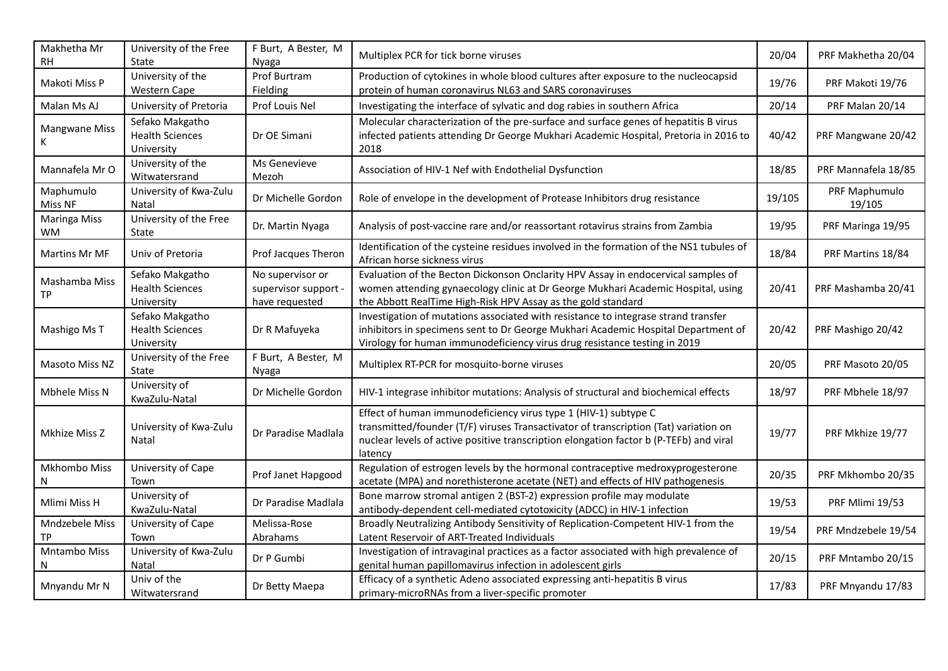| Makhetha Mr<br>RΗ          | University of the Free<br>State                         | F Burt, A Bester, M<br>Nyaga                               | Multiplex PCR for tick borne viruses                                                                                                                                                                                                                         | 20/04  | PRF Makhetha 20/04      |
|----------------------------|---------------------------------------------------------|------------------------------------------------------------|--------------------------------------------------------------------------------------------------------------------------------------------------------------------------------------------------------------------------------------------------------------|--------|-------------------------|
| Makoti Miss P              | University of the<br><b>Western Cape</b>                | Prof Burtram<br>Fielding                                   | Production of cytokines in whole blood cultures after exposure to the nucleocapsid<br>protein of human coronavirus NL63 and SARS coronaviruses                                                                                                               | 19/76  | PRF Makoti 19/76        |
| Malan Ms AJ                | University of Pretoria                                  | Prof Louis Nel                                             | Investigating the interface of sylvatic and dog rabies in southern Africa                                                                                                                                                                                    | 20/14  | PRF Malan 20/14         |
| <b>Mangwane Miss</b><br>K. | Sefako Makgatho<br><b>Health Sciences</b><br>University | Dr OE Simani                                               | Molecular characterization of the pre-surface and surface genes of hepatitis B virus<br>infected patients attending Dr George Mukhari Academic Hospital, Pretoria in 2016 to<br>2018                                                                         | 40/42  | PRF Mangwane 20/42      |
| Mannafela Mr O             | University of the<br>Witwatersrand                      | Ms Genevieve<br>Mezoh                                      | Association of HIV-1 Nef with Endothelial Dysfunction                                                                                                                                                                                                        | 18/85  | PRF Mannafela 18/85     |
| Maphumulo<br>Miss NF       | University of Kwa-Zulu<br>Natal                         | Dr Michelle Gordon                                         | Role of envelope in the development of Protease Inhibitors drug resistance                                                                                                                                                                                   | 19/105 | PRF Maphumulo<br>19/105 |
| Maringa Miss<br><b>WM</b>  | University of the Free<br>State                         | Dr. Martin Nyaga                                           | Analysis of post-vaccine rare and/or reassortant rotavirus strains from Zambia                                                                                                                                                                               | 19/95  | PRF Maringa 19/95       |
| Martins Mr MF              | Univ of Pretoria                                        | Prof Jacques Theron                                        | Identification of the cysteine residues involved in the formation of the NS1 tubules of<br>African horse sickness virus                                                                                                                                      | 18/84  | PRF Martins 18/84       |
| Mashamba Miss<br>TР        | Sefako Makgatho<br><b>Health Sciences</b><br>University | No supervisor or<br>supervisor support -<br>have requested | Evaluation of the Becton Dickonson Onclarity HPV Assay in endocervical samples of<br>women attending gynaecology clinic at Dr George Mukhari Academic Hospital, using<br>the Abbott RealTime High-Risk HPV Assay as the gold standard                        | 20/41  | PRF Mashamba 20/41      |
| Mashigo Ms T               | Sefako Makgatho<br><b>Health Sciences</b><br>University | Dr R Mafuyeka                                              | Investigation of mutations associated with resistance to integrase strand transfer<br>inhibitors in specimens sent to Dr George Mukhari Academic Hospital Department of<br>Virology for human immunodeficiency virus drug resistance testing in 2019         | 20/42  | PRF Mashigo 20/42       |
| Masoto Miss NZ             | University of the Free<br>State                         | F Burt, A Bester, M<br><b>Nyaga</b>                        | Multiplex RT-PCR for mosquito-borne viruses                                                                                                                                                                                                                  | 20/05  | PRF Masoto 20/05        |
| Mbhele Miss N              | University of<br>KwaZulu-Natal                          | Dr Michelle Gordon                                         | HIV-1 integrase inhibitor mutations: Analysis of structural and biochemical effects                                                                                                                                                                          | 18/97  | PRF Mbhele 18/97        |
| Mkhize Miss Z              | University of Kwa-Zulu<br>Natal                         | Dr Paradise Madlala                                        | Effect of human immunodeficiency virus type 1 (HIV-1) subtype C<br>transmitted/founder (T/F) viruses Transactivator of transcription (Tat) variation on<br>nuclear levels of active positive transcription elongation factor b (P-TEFb) and viral<br>latency | 19/77  | PRF Mkhize 19/77        |
| Mkhombo Miss<br>N          | University of Cape<br>Town                              | Prof Janet Hapgood                                         | Regulation of estrogen levels by the hormonal contraceptive medroxyprogesterone<br>acetate (MPA) and norethisterone acetate (NET) and effects of HIV pathogenesis                                                                                            | 20/35  | PRF Mkhombo 20/35       |
| Mlimi Miss H               | University of<br>KwaZulu-Natal                          | Dr Paradise Madlala                                        | Bone marrow stromal antigen 2 (BST-2) expression profile may modulate<br>antibody-dependent cell-mediated cytotoxicity (ADCC) in HIV-1 infection                                                                                                             | 19/53  | PRF Mlimi 19/53         |
| Mndzebele Miss<br>TР       | University of Cape<br>Town                              | Melissa-Rose<br>Abrahams                                   | Broadly Neutralizing Antibody Sensitivity of Replication-Competent HIV-1 from the<br>Latent Reservoir of ART-Treated Individuals                                                                                                                             | 19/54  | PRF Mndzebele 19/54     |
| Mntambo Miss<br>N          | University of Kwa-Zulu<br>Natal                         | Dr P Gumbi                                                 | Investigation of intravaginal practices as a factor associated with high prevalence of<br>genital human papillomavirus infection in adolescent girls                                                                                                         | 20/15  | PRF Mntambo 20/15       |
| Mnyandu Mr N               | Univ of the<br>Witwatersrand                            | Dr Betty Maepa                                             | Efficacy of a synthetic Adeno associated expressing anti-hepatitis B virus<br>primary-microRNAs from a liver-specific promoter                                                                                                                               | 17/83  | PRF Mnyandu 17/83       |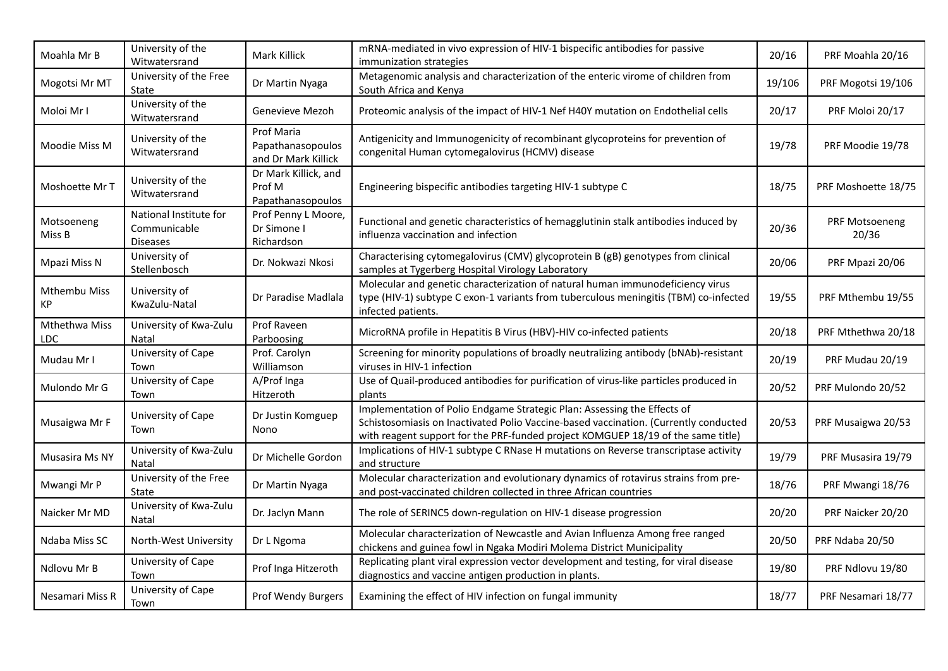| Moahla Mr B          | University of the<br>Witwatersrand                        | Mark Killick                                           | mRNA-mediated in vivo expression of HIV-1 bispecific antibodies for passive<br>immunization strategies                                                                                                                                               | 20/16  | PRF Moahla 20/16        |
|----------------------|-----------------------------------------------------------|--------------------------------------------------------|------------------------------------------------------------------------------------------------------------------------------------------------------------------------------------------------------------------------------------------------------|--------|-------------------------|
| Mogotsi Mr MT        | University of the Free<br>State                           | Dr Martin Nyaga                                        | Metagenomic analysis and characterization of the enteric virome of children from<br>South Africa and Kenya                                                                                                                                           | 19/106 | PRF Mogotsi 19/106      |
| Moloi Mr I           | University of the<br>Witwatersrand                        | Genevieve Mezoh                                        | Proteomic analysis of the impact of HIV-1 Nef H40Y mutation on Endothelial cells                                                                                                                                                                     | 20/17  | PRF Moloi 20/17         |
| Moodie Miss M        | University of the<br>Witwatersrand                        | Prof Maria<br>Papathanasopoulos<br>and Dr Mark Killick | Antigenicity and Immunogenicity of recombinant glycoproteins for prevention of<br>congenital Human cytomegalovirus (HCMV) disease                                                                                                                    | 19/78  | PRF Moodie 19/78        |
| Moshoette Mr T       | University of the<br>Witwatersrand                        | Dr Mark Killick, and<br>Prof M<br>Papathanasopoulos    | Engineering bispecific antibodies targeting HIV-1 subtype C                                                                                                                                                                                          | 18/75  | PRF Moshoette 18/75     |
| Motsoeneng<br>Miss B | National Institute for<br>Communicable<br><b>Diseases</b> | Prof Penny L Moore,<br>Dr Simone I<br>Richardson       | Functional and genetic characteristics of hemagglutinin stalk antibodies induced by<br>influenza vaccination and infection                                                                                                                           | 20/36  | PRF Motsoeneng<br>20/36 |
| Mpazi Miss N         | University of<br>Stellenbosch                             | Dr. Nokwazi Nkosi                                      | Characterising cytomegalovirus (CMV) glycoprotein B (gB) genotypes from clinical<br>samples at Tygerberg Hospital Virology Laboratory                                                                                                                | 20/06  | PRF Mpazi 20/06         |
| Mthembu Miss<br>КP   | University of<br>KwaZulu-Natal                            | Dr Paradise Madlala                                    | Molecular and genetic characterization of natural human immunodeficiency virus<br>type (HIV-1) subtype C exon-1 variants from tuberculous meningitis (TBM) co-infected<br>infected patients.                                                         | 19/55  | PRF Mthembu 19/55       |
| Mthethwa Miss<br>LDC | University of Kwa-Zulu<br>Natal                           | Prof Raveen<br>Parboosing                              | MicroRNA profile in Hepatitis B Virus (HBV)-HIV co-infected patients                                                                                                                                                                                 | 20/18  | PRF Mthethwa 20/18      |
| Mudau Mr I           | University of Cape<br>Town                                | Prof. Carolyn<br>Williamson                            | Screening for minority populations of broadly neutralizing antibody (bNAb)-resistant<br>viruses in HIV-1 infection                                                                                                                                   | 20/19  | PRF Mudau 20/19         |
| Mulondo Mr G         | University of Cape<br>Town                                | A/Prof Inga<br>Hitzeroth                               | Use of Quail-produced antibodies for purification of virus-like particles produced in<br>plants                                                                                                                                                      | 20/52  | PRF Mulondo 20/52       |
| Musaigwa Mr F        | University of Cape<br>Town                                | Dr Justin Komguep<br>Nono                              | Implementation of Polio Endgame Strategic Plan: Assessing the Effects of<br>Schistosomiasis on Inactivated Polio Vaccine-based vaccination. (Currently conducted<br>with reagent support for the PRF-funded project KOMGUEP 18/19 of the same title) | 20/53  | PRF Musaigwa 20/53      |
| Musasira Ms NY       | University of Kwa-Zulu<br><b>Natal</b>                    | Dr Michelle Gordon                                     | Implications of HIV-1 subtype C RNase H mutations on Reverse transcriptase activity<br>and structure                                                                                                                                                 | 19/79  | PRF Musasira 19/79      |
| Mwangi Mr P          | University of the Free<br>State                           | Dr Martin Nyaga                                        | Molecular characterization and evolutionary dynamics of rotavirus strains from pre-<br>and post-vaccinated children collected in three African countries                                                                                             | 18/76  | PRF Mwangi 18/76        |
| Naicker Mr MD        | University of Kwa-Zulu<br>Natal                           | Dr. Jaclyn Mann                                        | The role of SERINC5 down-regulation on HIV-1 disease progression                                                                                                                                                                                     | 20/20  | PRF Naicker 20/20       |
| Ndaba Miss SC        | North-West University                                     | Dr L Ngoma                                             | Molecular characterization of Newcastle and Avian Influenza Among free ranged<br>chickens and guinea fowl in Ngaka Modiri Molema District Municipality                                                                                               | 20/50  | PRF Ndaba 20/50         |
| Ndlovu Mr B          | University of Cape<br>Town                                | Prof Inga Hitzeroth                                    | Replicating plant viral expression vector development and testing, for viral disease<br>diagnostics and vaccine antigen production in plants.                                                                                                        | 19/80  | PRF Ndlovu 19/80        |
| Nesamari Miss R      | University of Cape<br>Town                                | Prof Wendy Burgers                                     | Examining the effect of HIV infection on fungal immunity                                                                                                                                                                                             | 18/77  | PRF Nesamari 18/77      |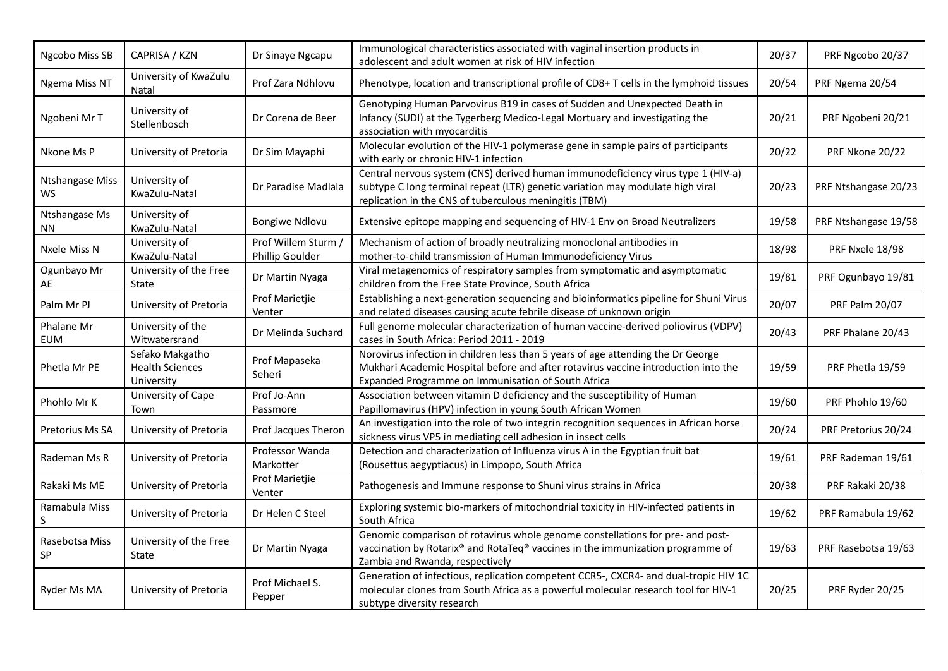| Ngcobo Miss SB               | CAPRISA / KZN                                           | Dr Sinaye Ngcapu                       | Immunological characteristics associated with vaginal insertion products in<br>adolescent and adult women at risk of HIV infection                                                                                           | 20/37 | PRF Ngcobo 20/37     |
|------------------------------|---------------------------------------------------------|----------------------------------------|------------------------------------------------------------------------------------------------------------------------------------------------------------------------------------------------------------------------------|-------|----------------------|
| Ngema Miss NT                | University of KwaZulu<br>Natal                          | Prof Zara Ndhlovu                      | Phenotype, location and transcriptional profile of CD8+ T cells in the lymphoid tissues                                                                                                                                      | 20/54 | PRF Ngema 20/54      |
| Ngobeni Mr T                 | University of<br>Stellenbosch                           | Dr Corena de Beer                      | Genotyping Human Parvovirus B19 in cases of Sudden and Unexpected Death in<br>Infancy (SUDI) at the Tygerberg Medico-Legal Mortuary and investigating the<br>association with myocarditis                                    | 20/21 | PRF Ngobeni 20/21    |
| Nkone Ms P                   | University of Pretoria                                  | Dr Sim Mayaphi                         | Molecular evolution of the HIV-1 polymerase gene in sample pairs of participants<br>with early or chronic HIV-1 infection                                                                                                    | 20/22 | PRF Nkone 20/22      |
| <b>Ntshangase Miss</b><br>WS | University of<br>KwaZulu-Natal                          | Dr Paradise Madlala                    | Central nervous system (CNS) derived human immunodeficiency virus type 1 (HIV-a)<br>subtype C long terminal repeat (LTR) genetic variation may modulate high viral<br>replication in the CNS of tuberculous meningitis (TBM) | 20/23 | PRF Ntshangase 20/23 |
| Ntshangase Ms<br>NN.         | University of<br>KwaZulu-Natal                          | <b>Bongiwe Ndlovu</b>                  | Extensive epitope mapping and sequencing of HIV-1 Env on Broad Neutralizers                                                                                                                                                  | 19/58 | PRF Ntshangase 19/58 |
| Nxele Miss N                 | University of<br>KwaZulu-Natal                          | Prof Willem Sturm /<br>Phillip Goulder | Mechanism of action of broadly neutralizing monoclonal antibodies in<br>mother-to-child transmission of Human Immunodeficiency Virus                                                                                         | 18/98 | PRF Nxele 18/98      |
| Ogunbayo Mr<br>AE            | University of the Free<br>State                         | Dr Martin Nyaga                        | Viral metagenomics of respiratory samples from symptomatic and asymptomatic<br>children from the Free State Province, South Africa                                                                                           | 19/81 | PRF Ogunbayo 19/81   |
| Palm Mr PJ                   | University of Pretoria                                  | Prof Marietjie<br>Venter               | Establishing a next-generation sequencing and bioinformatics pipeline for Shuni Virus<br>and related diseases causing acute febrile disease of unknown origin                                                                | 20/07 | PRF Palm 20/07       |
| Phalane Mr<br><b>EUM</b>     | University of the<br>Witwatersrand                      | Dr Melinda Suchard                     | Full genome molecular characterization of human vaccine-derived poliovirus (VDPV)<br>cases in South Africa: Period 2011 - 2019                                                                                               | 20/43 | PRF Phalane 20/43    |
| Phetla Mr PE                 | Sefako Makgatho<br><b>Health Sciences</b><br>University | Prof Mapaseka<br>Seheri                | Norovirus infection in children less than 5 years of age attending the Dr George<br>Mukhari Academic Hospital before and after rotavirus vaccine introduction into the<br>Expanded Programme on Immunisation of South Africa | 19/59 | PRF Phetla 19/59     |
| Phohlo Mr K                  | University of Cape<br>Town                              | Prof Jo-Ann<br>Passmore                | Association between vitamin D deficiency and the susceptibility of Human<br>Papillomavirus (HPV) infection in young South African Women                                                                                      | 19/60 | PRF Phohlo 19/60     |
| Pretorius Ms SA              | University of Pretoria                                  | Prof Jacques Theron                    | An investigation into the role of two integrin recognition sequences in African horse<br>sickness virus VP5 in mediating cell adhesion in insect cells                                                                       | 20/24 | PRF Pretorius 20/24  |
| Rademan Ms R                 | University of Pretoria                                  | Professor Wanda<br>Markotter           | Detection and characterization of Influenza virus A in the Egyptian fruit bat<br>(Rousettus aegyptiacus) in Limpopo, South Africa                                                                                            | 19/61 | PRF Rademan 19/61    |
| Rakaki Ms ME                 | University of Pretoria                                  | Prof Marietjie<br>Venter               | Pathogenesis and Immune response to Shuni virus strains in Africa                                                                                                                                                            | 20/38 | PRF Rakaki 20/38     |
| Ramabula Miss<br>S           | University of Pretoria                                  | Dr Helen C Steel                       | Exploring systemic bio-markers of mitochondrial toxicity in HIV-infected patients in<br>South Africa                                                                                                                         | 19/62 | PRF Ramabula 19/62   |
| Rasebotsa Miss<br>SP         | University of the Free<br>State                         | Dr Martin Nyaga                        | Genomic comparison of rotavirus whole genome constellations for pre- and post-<br>vaccination by Rotarix® and RotaTeq® vaccines in the immunization programme of<br>Zambia and Rwanda, respectively                          | 19/63 | PRF Rasebotsa 19/63  |
| Ryder Ms MA                  | University of Pretoria                                  | Prof Michael S.<br>Pepper              | Generation of infectious, replication competent CCR5-, CXCR4- and dual-tropic HIV 1C<br>molecular clones from South Africa as a powerful molecular research tool for HIV-1<br>subtype diversity research                     | 20/25 | PRF Ryder 20/25      |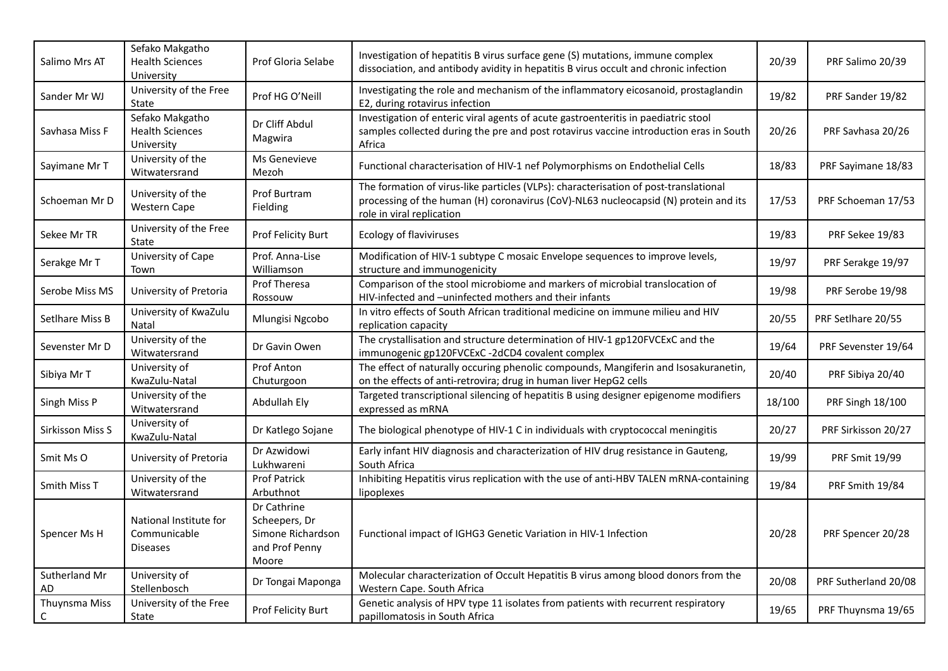| Salimo Mrs AT       | Sefako Makgatho<br><b>Health Sciences</b><br>University   | Prof Gloria Selabe                                                           | Investigation of hepatitis B virus surface gene (S) mutations, immune complex<br>dissociation, and antibody avidity in hepatitis B virus occult and chronic infection                                    | 20/39  | PRF Salimo 20/39     |
|---------------------|-----------------------------------------------------------|------------------------------------------------------------------------------|----------------------------------------------------------------------------------------------------------------------------------------------------------------------------------------------------------|--------|----------------------|
| Sander Mr WJ        | University of the Free<br>State                           | Prof HG O'Neill                                                              | Investigating the role and mechanism of the inflammatory eicosanoid, prostaglandin<br>E2, during rotavirus infection                                                                                     | 19/82  | PRF Sander 19/82     |
| Savhasa Miss F      | Sefako Makgatho<br><b>Health Sciences</b><br>University   | Dr Cliff Abdul<br>Magwira                                                    | Investigation of enteric viral agents of acute gastroenteritis in paediatric stool<br>samples collected during the pre and post rotavirus vaccine introduction eras in South<br>Africa                   | 20/26  | PRF Savhasa 20/26    |
| Sayimane Mr T       | University of the<br>Witwatersrand                        | Ms Genevieve<br>Mezoh                                                        | Functional characterisation of HIV-1 nef Polymorphisms on Endothelial Cells                                                                                                                              | 18/83  | PRF Sayimane 18/83   |
| Schoeman Mr D       | University of the<br><b>Western Cape</b>                  | Prof Burtram<br>Fielding                                                     | The formation of virus-like particles (VLPs): characterisation of post-translational<br>processing of the human (H) coronavirus (CoV)-NL63 nucleocapsid (N) protein and its<br>role in viral replication | 17/53  | PRF Schoeman 17/53   |
| Sekee Mr TR         | University of the Free<br>State                           | Prof Felicity Burt                                                           | Ecology of flaviviruses                                                                                                                                                                                  | 19/83  | PRF Sekee 19/83      |
| Serakge Mr T        | University of Cape<br>Town                                | Prof. Anna-Lise<br>Williamson                                                | Modification of HIV-1 subtype C mosaic Envelope sequences to improve levels,<br>structure and immunogenicity                                                                                             | 19/97  | PRF Serakge 19/97    |
| Serobe Miss MS      | University of Pretoria                                    | Prof Theresa<br>Rossouw                                                      | Comparison of the stool microbiome and markers of microbial translocation of<br>HIV-infected and -uninfected mothers and their infants                                                                   | 19/98  | PRF Serobe 19/98     |
| Setlhare Miss B     | University of KwaZulu<br>Natal                            | Mlungisi Ngcobo                                                              | In vitro effects of South African traditional medicine on immune milieu and HIV<br>replication capacity                                                                                                  | 20/55  | PRF Setlhare 20/55   |
| Sevenster Mr D      | University of the<br>Witwatersrand                        | Dr Gavin Owen                                                                | The crystallisation and structure determination of HIV-1 gp120FVCExC and the<br>immunogenic gp120FVCExC -2dCD4 covalent complex                                                                          | 19/64  | PRF Sevenster 19/64  |
| Sibiya Mr T         | University of<br>KwaZulu-Natal                            | Prof Anton<br>Chuturgoon                                                     | The effect of naturally occuring phenolic compounds, Mangiferin and Isosakuranetin,<br>on the effects of anti-retrovira; drug in human liver HepG2 cells                                                 | 20/40  | PRF Sibiya 20/40     |
| Singh Miss P        | University of the<br>Witwatersrand                        | Abdullah Ely                                                                 | Targeted transcriptional silencing of hepatitis B using designer epigenome modifiers<br>expressed as mRNA                                                                                                | 18/100 | PRF Singh 18/100     |
| Sirkisson Miss S    | University of<br>KwaZulu-Natal                            | Dr Katlego Sojane                                                            | The biological phenotype of HIV-1 C in individuals with cryptococcal meningitis                                                                                                                          | 20/27  | PRF Sirkisson 20/27  |
| Smit Ms O           | University of Pretoria                                    | Dr Azwidowi<br>Lukhwareni                                                    | Early infant HIV diagnosis and characterization of HIV drug resistance in Gauteng,<br>South Africa                                                                                                       | 19/99  | PRF Smit 19/99       |
| Smith Miss T        | University of the<br>Witwatersrand                        | Prof Patrick<br>Arbuthnot                                                    | Inhibiting Hepatitis virus replication with the use of anti-HBV TALEN mRNA-containing<br>lipoplexes                                                                                                      | 19/84  | PRF Smith 19/84      |
| Spencer Ms H        | National Institute for<br>Communicable<br><b>Diseases</b> | Dr Cathrine<br>Scheepers, Dr<br>Simone Richardson<br>and Prof Penny<br>Moore | Functional impact of IGHG3 Genetic Variation in HIV-1 Infection                                                                                                                                          | 20/28  | PRF Spencer 20/28    |
| Sutherland Mr<br>AD | University of<br>Stellenbosch                             | Dr Tongai Maponga                                                            | Molecular characterization of Occult Hepatitis B virus among blood donors from the<br>Western Cape. South Africa                                                                                         | 20/08  | PRF Sutherland 20/08 |
| Thuynsma Miss<br>C  | University of the Free<br>State                           | Prof Felicity Burt                                                           | Genetic analysis of HPV type 11 isolates from patients with recurrent respiratory<br>papillomatosis in South Africa                                                                                      | 19/65  | PRF Thuynsma 19/65   |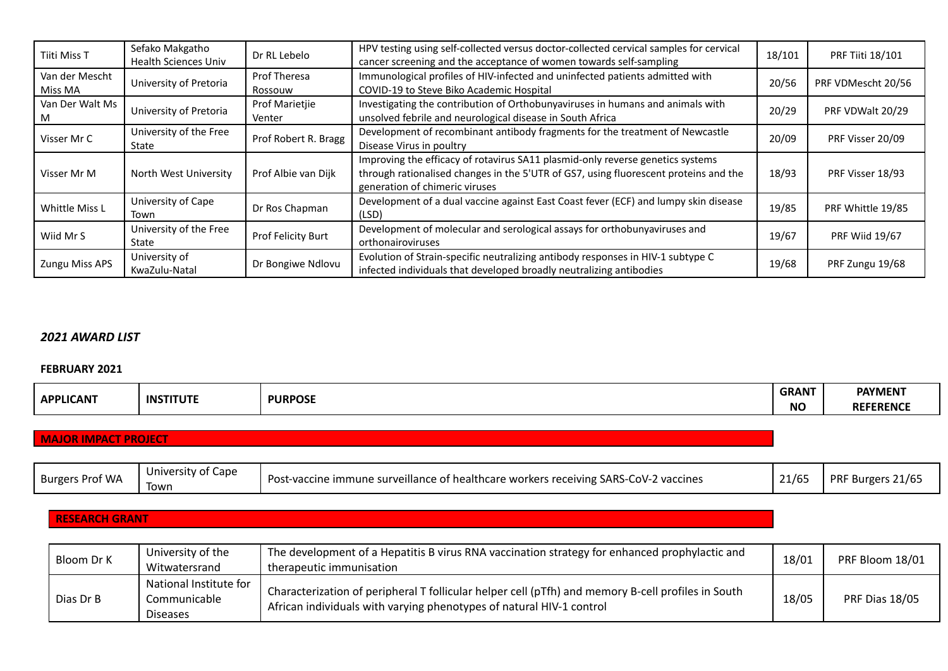| Tiiti Miss T              | Sefako Makgatho<br><b>Health Sciences Univ</b> | Dr RL Lebelo             | HPV testing using self-collected versus doctor-collected cervical samples for cervical<br>cancer screening and the acceptance of women towards self-sampling                                             | 18/101 | <b>PRF Tiiti 18/101</b> |
|---------------------------|------------------------------------------------|--------------------------|----------------------------------------------------------------------------------------------------------------------------------------------------------------------------------------------------------|--------|-------------------------|
| Van der Mescht<br>Miss MA | University of Pretoria                         | Prof Theresa<br>Rossouw  | Immunological profiles of HIV-infected and uninfected patients admitted with<br>COVID-19 to Steve Biko Academic Hospital                                                                                 | 20/56  | PRF VDMescht 20/56      |
| Van Der Walt Ms<br>ΙVΙ    | University of Pretoria                         | Prof Marietjie<br>Venter | Investigating the contribution of Orthobunyaviruses in humans and animals with<br>unsolved febrile and neurological disease in South Africa                                                              | 20/29  | PRF VDWalt 20/29        |
| Visser Mr C               | University of the Free<br>State                | Prof Robert R. Bragg     | Development of recombinant antibody fragments for the treatment of Newcastle<br>Disease Virus in poultry                                                                                                 | 20/09  | PRF Visser 20/09        |
| Visser Mr M               | North West University                          | Prof Albie van Dijk      | Improving the efficacy of rotavirus SA11 plasmid-only reverse genetics systems<br>through rationalised changes in the 5'UTR of GS7, using fluorescent proteins and the<br>generation of chimeric viruses | 18/93  | PRF Visser 18/93        |
| Whittle Miss L            | University of Cape<br>Town                     | Dr Ros Chapman           | Development of a dual vaccine against East Coast fever (ECF) and lumpy skin disease<br>(LSD)                                                                                                             | 19/85  | PRF Whittle 19/85       |
| Wiid Mr S                 | University of the Free<br>State                | Prof Felicity Burt       | Development of molecular and serological assays for orthobunyaviruses and<br>orthonairoviruses                                                                                                           | 19/67  | PRF Wiid 19/67          |
| <b>Zungu Miss APS</b>     | University of<br>KwaZulu-Natal                 | Dr Bongiwe Ndlovu        | Evolution of Strain-specific neutralizing antibody responses in HIV-1 subtype C<br>infected individuals that developed broadly neutralizing antibodies                                                   | 19/68  | PRF Zungu 19/68         |

### *2021 AWARD LIST*

#### **FEBRUARY 2021**

|                  |                             |                | <b>GRANT</b> | <b>PAYMENT</b>   |
|------------------|-----------------------------|----------------|--------------|------------------|
| <b>APPLICANT</b> | <b>ITUTI</b><br><b>INST</b> | <b>PURPOSE</b> | <b>NO</b>    | <b>REFERENCF</b> |

# **MAJOR IMPACT PROJECT**

| ∶ Prof WA<br><b>Burgers</b> | Cape<br>itv of<br>Univer |                                                                                                                                                    |                          | $I_{\mathcal{L}}$                          |
|-----------------------------|--------------------------|----------------------------------------------------------------------------------------------------------------------------------------------------|--------------------------|--------------------------------------------|
|                             |                          | <b>SARS-</b><br>∴oV- <sup>~</sup><br>eillance of healthcare workers receiving <b>:</b><br>2 vaccines<br>surve י<br>ımmune<br>ecine<br>-vac<br>. US | 1/ <sub>6</sub><br>21/03 | <b>PRF</b><br>Burger <sup>.</sup><br>Z1705 |
|                             | Iown                     |                                                                                                                                                    |                          |                                            |

# **RESEARCH GRANT**

| Bloom Dr K | University of the<br>Witwatersrand                        | The development of a Hepatitis B virus RNA vaccination strategy for enhanced prophylactic and<br>therapeutic immunisation                                                  | 18/01 | PRF Bloom 18/01 |
|------------|-----------------------------------------------------------|----------------------------------------------------------------------------------------------------------------------------------------------------------------------------|-------|-----------------|
| Dias Dr B  | National Institute for<br>Communicable<br><b>Diseases</b> | Characterization of peripheral T follicular helper cell (pTfh) and memory B-cell profiles in South<br>African individuals with varying phenotypes of natural HIV-1 control | 18/05 | PRF Dias 18/05  |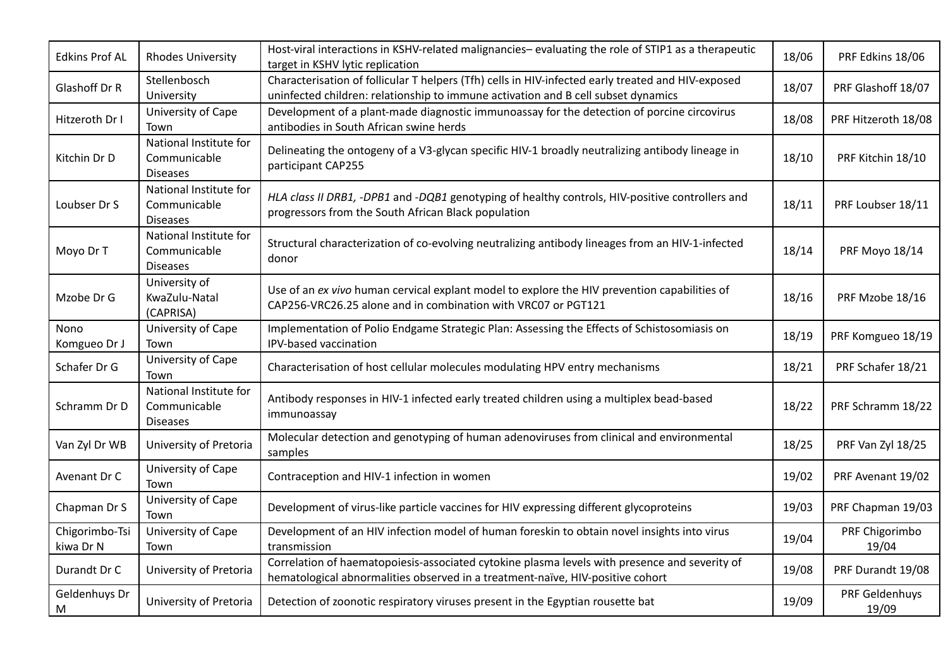| <b>Edkins Prof AL</b>       | <b>Rhodes University</b>                                  | Host-viral interactions in KSHV-related malignancies-evaluating the role of STIP1 as a therapeutic<br>target in KSHV lytic replication                                                  | 18/06 | PRF Edkins 18/06        |
|-----------------------------|-----------------------------------------------------------|-----------------------------------------------------------------------------------------------------------------------------------------------------------------------------------------|-------|-------------------------|
| Glashoff Dr R               | Stellenbosch<br>University                                | Characterisation of follicular T helpers (Tfh) cells in HIV-infected early treated and HIV-exposed<br>uninfected children: relationship to immune activation and B cell subset dynamics | 18/07 | PRF Glashoff 18/07      |
| Hitzeroth Dr I              | University of Cape<br>Town                                | Development of a plant-made diagnostic immunoassay for the detection of porcine circovirus<br>antibodies in South African swine herds                                                   | 18/08 | PRF Hitzeroth 18/08     |
| Kitchin Dr D                | National Institute for<br>Communicable<br><b>Diseases</b> | Delineating the ontogeny of a V3-glycan specific HIV-1 broadly neutralizing antibody lineage in<br>participant CAP255                                                                   | 18/10 | PRF Kitchin 18/10       |
| Loubser Dr S                | National Institute for<br>Communicable<br><b>Diseases</b> | HLA class II DRB1, -DPB1 and -DQB1 genotyping of healthy controls, HIV-positive controllers and<br>progressors from the South African Black population                                  | 18/11 | PRF Loubser 18/11       |
| Moyo Dr T                   | National Institute for<br>Communicable<br><b>Diseases</b> | Structural characterization of co-evolving neutralizing antibody lineages from an HIV-1-infected<br>donor                                                                               | 18/14 | <b>PRF Moyo 18/14</b>   |
| Mzobe Dr G                  | University of<br>KwaZulu-Natal<br>(CAPRISA)               | Use of an ex vivo human cervical explant model to explore the HIV prevention capabilities of<br>CAP256-VRC26.25 alone and in combination with VRC07 or PGT121                           | 18/16 | PRF Mzobe 18/16         |
| <b>Nono</b><br>Komgueo Dr J | University of Cape<br>Town                                | Implementation of Polio Endgame Strategic Plan: Assessing the Effects of Schistosomiasis on<br>IPV-based vaccination                                                                    | 18/19 | PRF Komgueo 18/19       |
| Schafer Dr G                | University of Cape<br>Town                                | Characterisation of host cellular molecules modulating HPV entry mechanisms                                                                                                             | 18/21 | PRF Schafer 18/21       |
| Schramm Dr D                | National Institute for<br>Communicable<br><b>Diseases</b> | Antibody responses in HIV-1 infected early treated children using a multiplex bead-based<br>immunoassay                                                                                 | 18/22 | PRF Schramm 18/22       |
| Van Zyl Dr WB               | University of Pretoria                                    | Molecular detection and genotyping of human adenoviruses from clinical and environmental<br>samples                                                                                     | 18/25 | PRF Van Zyl 18/25       |
| Avenant Dr C                | University of Cape<br>Town                                | Contraception and HIV-1 infection in women                                                                                                                                              | 19/02 | PRF Avenant 19/02       |
| Chapman Dr S                | University of Cape<br>Town                                | Development of virus-like particle vaccines for HIV expressing different glycoproteins                                                                                                  | 19/03 | PRF Chapman 19/03       |
| Chigorimbo-Tsi<br>kiwa Dr N | University of Cape<br>Town                                | Development of an HIV infection model of human foreskin to obtain novel insights into virus<br>transmission                                                                             | 19/04 | PRF Chigorimbo<br>19/04 |
| Durandt Dr C                | University of Pretoria                                    | Correlation of haematopoiesis-associated cytokine plasma levels with presence and severity of<br>hematological abnormalities observed in a treatment-naïve, HIV-positive cohort         | 19/08 | PRF Durandt 19/08       |
| Geldenhuys Dr<br>M          | University of Pretoria                                    | Detection of zoonotic respiratory viruses present in the Egyptian rousette bat                                                                                                          | 19/09 | PRF Geldenhuys<br>19/09 |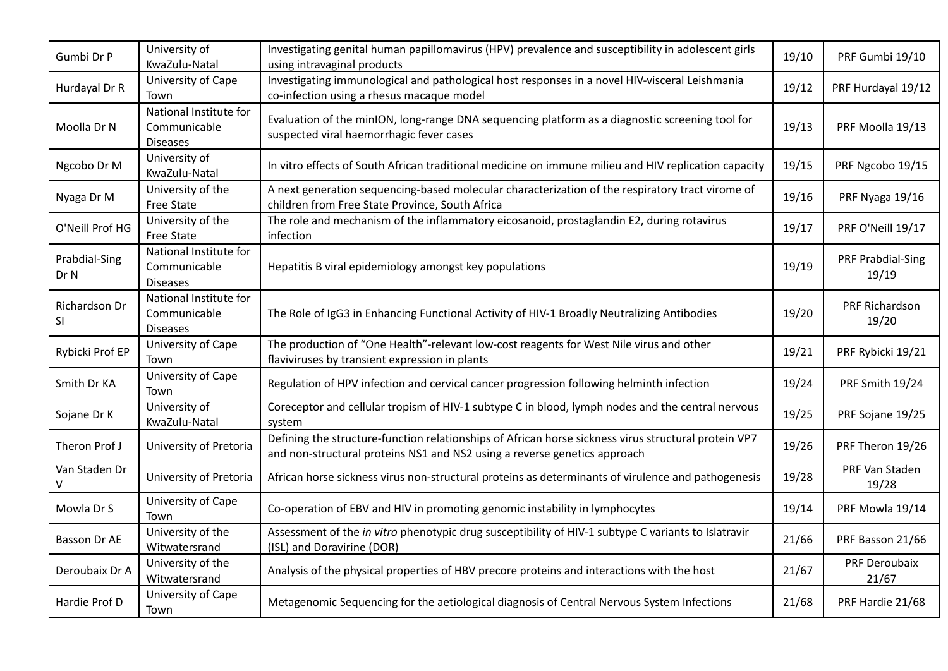| Gumbi Dr P            | University of<br>KwaZulu-Natal                            | Investigating genital human papillomavirus (HPV) prevalence and susceptibility in adolescent girls<br>using intravaginal products                                                 | 19/10 | PRF Gumbi 19/10            |
|-----------------------|-----------------------------------------------------------|-----------------------------------------------------------------------------------------------------------------------------------------------------------------------------------|-------|----------------------------|
| Hurdayal Dr R         | University of Cape<br>Town                                | Investigating immunological and pathological host responses in a novel HIV-visceral Leishmania<br>co-infection using a rhesus macaque model                                       | 19/12 | PRF Hurdayal 19/12         |
| Moolla Dr N           | National Institute for<br>Communicable<br><b>Diseases</b> | Evaluation of the minION, long-range DNA sequencing platform as a diagnostic screening tool for<br>suspected viral haemorrhagic fever cases                                       | 19/13 | PRF Moolla 19/13           |
| Ngcobo Dr M           | University of<br>KwaZulu-Natal                            | In vitro effects of South African traditional medicine on immune milieu and HIV replication capacity                                                                              | 19/15 | PRF Ngcobo 19/15           |
| Nyaga Dr M            | University of the<br><b>Free State</b>                    | A next generation sequencing-based molecular characterization of the respiratory tract virome of<br>children from Free State Province, South Africa                               | 19/16 | PRF Nyaga 19/16            |
| O'Neill Prof HG       | University of the<br>Free State                           | The role and mechanism of the inflammatory eicosanoid, prostaglandin E2, during rotavirus<br>infection                                                                            | 19/17 | PRF O'Neill 19/17          |
| Prabdial-Sing<br>Dr N | National Institute for<br>Communicable<br><b>Diseases</b> | Hepatitis B viral epidemiology amongst key populations                                                                                                                            | 19/19 | PRF Prabdial-Sing<br>19/19 |
| Richardson Dr<br>SI   | National Institute for<br>Communicable<br><b>Diseases</b> | The Role of IgG3 in Enhancing Functional Activity of HIV-1 Broadly Neutralizing Antibodies                                                                                        | 19/20 | PRF Richardson<br>19/20    |
| Rybicki Prof EP       | University of Cape<br>Town                                | The production of "One Health"-relevant low-cost reagents for West Nile virus and other<br>flaviviruses by transient expression in plants                                         | 19/21 | PRF Rybicki 19/21          |
| Smith Dr KA           | University of Cape<br>Town                                | Regulation of HPV infection and cervical cancer progression following helminth infection                                                                                          | 19/24 | PRF Smith 19/24            |
| Sojane Dr K           | University of<br>KwaZulu-Natal                            | Coreceptor and cellular tropism of HIV-1 subtype C in blood, lymph nodes and the central nervous<br>system                                                                        | 19/25 | PRF Sojane 19/25           |
| Theron Prof J         | University of Pretoria                                    | Defining the structure-function relationships of African horse sickness virus structural protein VP7<br>and non-structural proteins NS1 and NS2 using a reverse genetics approach | 19/26 | PRF Theron 19/26           |
| Van Staden Dr         | University of Pretoria                                    | African horse sickness virus non-structural proteins as determinants of virulence and pathogenesis                                                                                | 19/28 | PRF Van Staden<br>19/28    |
| Mowla Dr S            | University of Cape<br>Town                                | Co-operation of EBV and HIV in promoting genomic instability in lymphocytes                                                                                                       | 19/14 | PRF Mowla 19/14            |
| Basson Dr AE          | University of the<br>Witwatersrand                        | Assessment of the in vitro phenotypic drug susceptibility of HIV-1 subtype C variants to Islatravir<br>(ISL) and Doravirine (DOR)                                                 | 21/66 | PRF Basson 21/66           |
| Deroubaix Dr A        | University of the<br>Witwatersrand                        | Analysis of the physical properties of HBV precore proteins and interactions with the host                                                                                        | 21/67 | PRF Deroubaix<br>21/67     |
| Hardie Prof D         | University of Cape<br>Town                                | Metagenomic Sequencing for the aetiological diagnosis of Central Nervous System Infections                                                                                        | 21/68 | PRF Hardie 21/68           |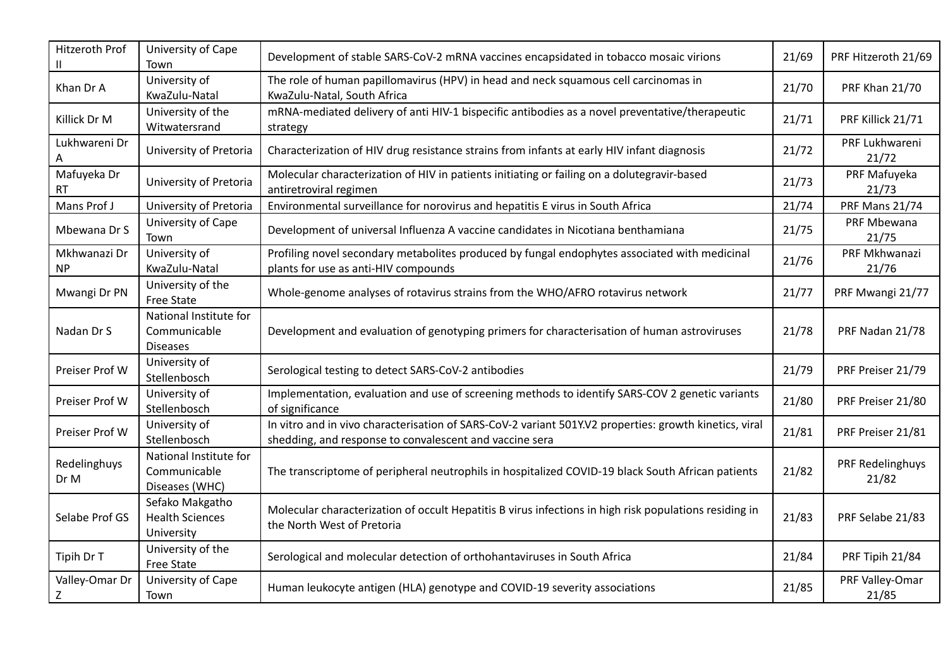| Hitzeroth Prof            | University of Cape<br>Town                                | Development of stable SARS-CoV-2 mRNA vaccines encapsidated in tobacco mosaic virions                                                                             | 21/69 | PRF Hitzeroth 21/69       |
|---------------------------|-----------------------------------------------------------|-------------------------------------------------------------------------------------------------------------------------------------------------------------------|-------|---------------------------|
| Khan Dr A                 | University of<br>KwaZulu-Natal                            | The role of human papillomavirus (HPV) in head and neck squamous cell carcinomas in<br>KwaZulu-Natal, South Africa                                                | 21/70 | <b>PRF Khan 21/70</b>     |
| Killick Dr M              | University of the<br>Witwatersrand                        | mRNA-mediated delivery of anti HIV-1 bispecific antibodies as a novel preventative/therapeutic<br>strategy                                                        | 21/71 | PRF Killick 21/71         |
| Lukhwareni Dr             | University of Pretoria                                    | Characterization of HIV drug resistance strains from infants at early HIV infant diagnosis                                                                        | 21/72 | PRF Lukhwareni<br>21/72   |
| Mafuyeka Dr<br>RT         | University of Pretoria                                    | Molecular characterization of HIV in patients initiating or failing on a dolutegravir-based<br>antiretroviral regimen                                             | 21/73 | PRF Mafuyeka<br>21/73     |
| Mans Prof J               | University of Pretoria                                    | Environmental surveillance for norovirus and hepatitis E virus in South Africa                                                                                    | 21/74 | PRF Mans 21/74            |
| Mbewana Dr S              | University of Cape<br>Town                                | Development of universal Influenza A vaccine candidates in Nicotiana benthamiana                                                                                  | 21/75 | PRF Mbewana<br>21/75      |
| Mkhwanazi Dr<br><b>NP</b> | University of<br>KwaZulu-Natal                            | Profiling novel secondary metabolites produced by fungal endophytes associated with medicinal<br>plants for use as anti-HIV compounds                             | 21/76 | PRF Mkhwanazi<br>21/76    |
| Mwangi Dr PN              | University of the<br>Free State                           | Whole-genome analyses of rotavirus strains from the WHO/AFRO rotavirus network                                                                                    | 21/77 | PRF Mwangi 21/77          |
| Nadan Dr S                | National Institute for<br>Communicable<br><b>Diseases</b> | Development and evaluation of genotyping primers for characterisation of human astroviruses                                                                       | 21/78 | PRF Nadan 21/78           |
| Preiser Prof W            | University of<br>Stellenbosch                             | Serological testing to detect SARS-CoV-2 antibodies                                                                                                               | 21/79 | PRF Preiser 21/79         |
| Preiser Prof W            | University of<br>Stellenbosch                             | Implementation, evaluation and use of screening methods to identify SARS-COV 2 genetic variants<br>of significance                                                | 21/80 | PRF Preiser 21/80         |
| Preiser Prof W            | University of<br>Stellenbosch                             | In vitro and in vivo characterisation of SARS-CoV-2 variant 501Y.V2 properties: growth kinetics, viral<br>shedding, and response to convalescent and vaccine sera | 21/81 | PRF Preiser 21/81         |
| Redelinghuys<br>Dr M      | National Institute for<br>Communicable<br>Diseases (WHC)  | The transcriptome of peripheral neutrophils in hospitalized COVID-19 black South African patients                                                                 | 21/82 | PRF Redelinghuys<br>21/82 |
| Selabe Prof GS            | Sefako Makgatho<br><b>Health Sciences</b><br>University   | Molecular characterization of occult Hepatitis B virus infections in high risk populations residing in<br>the North West of Pretoria                              | 21/83 | PRF Selabe 21/83          |
| Tipih Dr T                | University of the<br><b>Free State</b>                    | Serological and molecular detection of orthohantaviruses in South Africa                                                                                          | 21/84 | PRF Tipih 21/84           |
| Valley-Omar Dr<br>Ζ       | University of Cape<br>Town                                | Human leukocyte antigen (HLA) genotype and COVID-19 severity associations                                                                                         | 21/85 | PRF Valley-Omar<br>21/85  |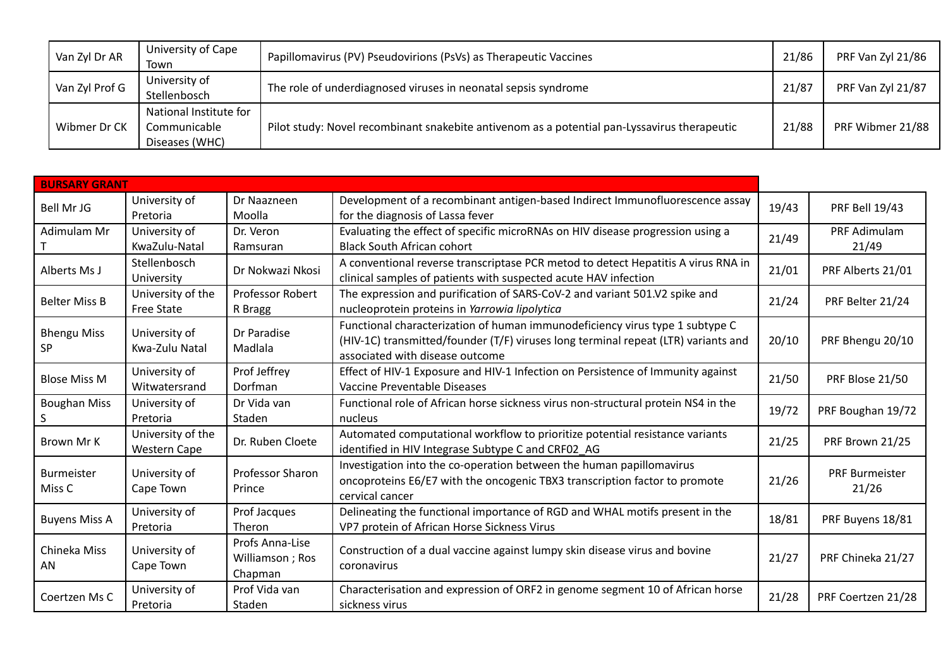| Van Zyl Dr AR  | University of Cape<br>Town                               | Papillomavirus (PV) Pseudovirions (PsVs) as Therapeutic Vaccines                             | 21/86 | PRF Van Zyl 21/86 |
|----------------|----------------------------------------------------------|----------------------------------------------------------------------------------------------|-------|-------------------|
| Van Zyl Prof G | University of<br>Stellenbosch                            | The role of underdiagnosed viruses in neonatal sepsis syndrome<br>21/87                      |       | PRF Van Zyl 21/87 |
| Wibmer Dr CK   | National Institute for<br>Communicable<br>Diseases (WHC) | Pilot study: Novel recombinant snakebite antivenom as a potential pan-Lyssavirus therapeutic | 21/88 | PRF Wibmer 21/88  |

| <b>BURSARY GRANT</b>            |                                          |                                               |                                                                                                                                                                                                       |       |                                |
|---------------------------------|------------------------------------------|-----------------------------------------------|-------------------------------------------------------------------------------------------------------------------------------------------------------------------------------------------------------|-------|--------------------------------|
| Bell Mr JG                      | University of<br>Pretoria                | Dr Naazneen<br>Moolla                         | Development of a recombinant antigen-based Indirect Immunofluorescence assay<br>for the diagnosis of Lassa fever                                                                                      | 19/43 | <b>PRF Bell 19/43</b>          |
| Adimulam Mr                     | University of<br>KwaZulu-Natal           | Dr. Veron<br>Ramsuran                         | Evaluating the effect of specific microRNAs on HIV disease progression using a<br><b>Black South African cohort</b>                                                                                   | 21/49 | PRF Adimulam<br>21/49          |
| Alberts Ms J                    | Stellenbosch<br>University               | Dr Nokwazi Nkosi                              | A conventional reverse transcriptase PCR metod to detect Hepatitis A virus RNA in<br>clinical samples of patients with suspected acute HAV infection                                                  | 21/01 | PRF Alberts 21/01              |
| <b>Belter Miss B</b>            | University of the<br><b>Free State</b>   | <b>Professor Robert</b><br>R Bragg            | The expression and purification of SARS-CoV-2 and variant 501.V2 spike and<br>nucleoprotein proteins in Yarrowia lipolytica                                                                           | 21/24 | PRF Belter 21/24               |
| <b>Bhengu Miss</b><br><b>SP</b> | University of<br>Kwa-Zulu Natal          | Dr Paradise<br>Madlala                        | Functional characterization of human immunodeficiency virus type 1 subtype C<br>(HIV-1C) transmitted/founder (T/F) viruses long terminal repeat (LTR) variants and<br>associated with disease outcome | 20/10 | PRF Bhengu 20/10               |
| <b>Blose Miss M</b>             | University of<br>Witwatersrand           | Prof Jeffrey<br>Dorfman                       | Effect of HIV-1 Exposure and HIV-1 Infection on Persistence of Immunity against<br>Vaccine Preventable Diseases                                                                                       | 21/50 | PRF Blose 21/50                |
| <b>Boughan Miss</b><br>S.       | University of<br>Pretoria                | Dr Vida van<br>Staden                         | Functional role of African horse sickness virus non-structural protein NS4 in the<br>nucleus                                                                                                          | 19/72 | PRF Boughan 19/72              |
| Brown Mr K                      | University of the<br><b>Western Cape</b> | Dr. Ruben Cloete                              | Automated computational workflow to prioritize potential resistance variants<br>identified in HIV Integrase Subtype C and CRF02 AG                                                                    | 21/25 | PRF Brown 21/25                |
| <b>Burmeister</b><br>Miss C     | University of<br>Cape Town               | <b>Professor Sharon</b><br>Prince             | Investigation into the co-operation between the human papillomavirus<br>oncoproteins E6/E7 with the oncogenic TBX3 transcription factor to promote<br>cervical cancer                                 | 21/26 | <b>PRF Burmeister</b><br>21/26 |
| <b>Buyens Miss A</b>            | University of<br>Pretoria                | Prof Jacques<br>Theron                        | Delineating the functional importance of RGD and WHAL motifs present in the<br>VP7 protein of African Horse Sickness Virus                                                                            | 18/81 | PRF Buyens 18/81               |
| Chineka Miss<br>AN              | University of<br>Cape Town               | Profs Anna-Lise<br>Williamson; Ros<br>Chapman | Construction of a dual vaccine against lumpy skin disease virus and bovine<br>coronavirus                                                                                                             | 21/27 | PRF Chineka 21/27              |
| Coertzen Ms C                   | University of<br>Pretoria                | Prof Vida van<br>Staden                       | Characterisation and expression of ORF2 in genome segment 10 of African horse<br>sickness virus                                                                                                       | 21/28 | PRF Coertzen 21/28             |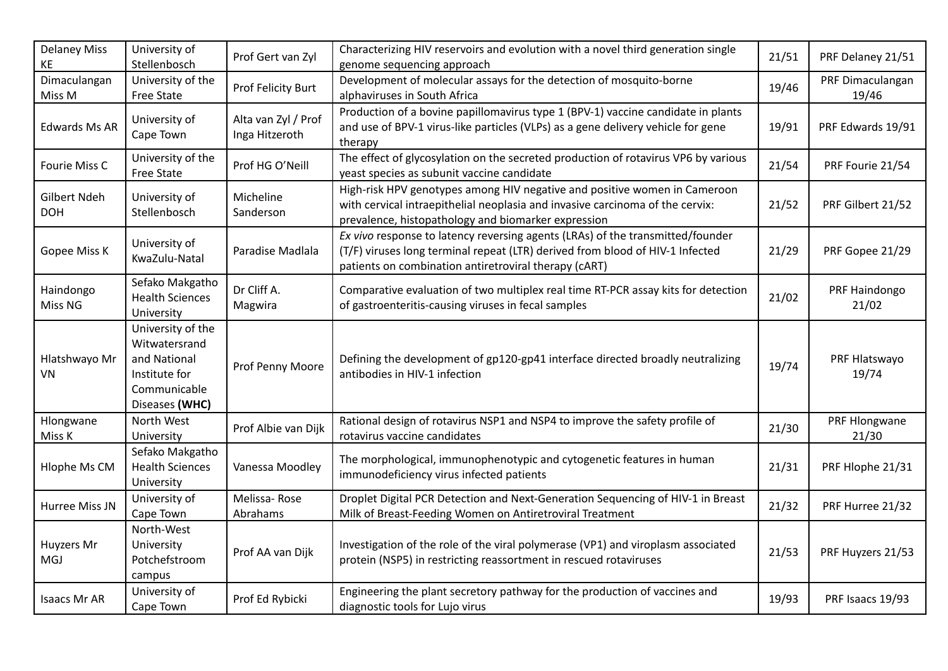| <b>Delaney Miss</b><br>ΚE  | University of<br>Stellenbosch                                                                         | Prof Gert van Zyl                     | Characterizing HIV reservoirs and evolution with a novel third generation single<br>genome sequencing approach                                                                                                           | 21/51 | PRF Delaney 21/51         |
|----------------------------|-------------------------------------------------------------------------------------------------------|---------------------------------------|--------------------------------------------------------------------------------------------------------------------------------------------------------------------------------------------------------------------------|-------|---------------------------|
| Dimaculangan<br>Miss M     | University of the<br>Free State                                                                       | Prof Felicity Burt                    | Development of molecular assays for the detection of mosquito-borne<br>alphaviruses in South Africa                                                                                                                      | 19/46 | PRF Dimaculangan<br>19/46 |
| <b>Edwards Ms AR</b>       | University of<br>Cape Town                                                                            | Alta van Zyl / Prof<br>Inga Hitzeroth | Production of a bovine papillomavirus type 1 (BPV-1) vaccine candidate in plants<br>and use of BPV-1 virus-like particles (VLPs) as a gene delivery vehicle for gene<br>therapy                                          | 19/91 | PRF Edwards 19/91         |
| Fourie Miss C              | University of the<br>Free State                                                                       | Prof HG O'Neill                       | The effect of glycosylation on the secreted production of rotavirus VP6 by various<br>yeast species as subunit vaccine candidate                                                                                         | 21/54 | PRF Fourie 21/54          |
| Gilbert Ndeh<br><b>DOH</b> | University of<br>Stellenbosch                                                                         | Micheline<br>Sanderson                | High-risk HPV genotypes among HIV negative and positive women in Cameroon<br>with cervical intraepithelial neoplasia and invasive carcinoma of the cervix:<br>prevalence, histopathology and biomarker expression        | 21/52 | PRF Gilbert 21/52         |
| Gopee Miss K               | University of<br>KwaZulu-Natal                                                                        | Paradise Madlala                      | Ex vivo response to latency reversing agents (LRAs) of the transmitted/founder<br>(T/F) viruses long terminal repeat (LTR) derived from blood of HIV-1 Infected<br>patients on combination antiretroviral therapy (CART) | 21/29 | PRF Gopee 21/29           |
| Haindongo<br>Miss NG       | Sefako Makgatho<br><b>Health Sciences</b><br>University                                               | Dr Cliff A.<br>Magwira                | Comparative evaluation of two multiplex real time RT-PCR assay kits for detection<br>of gastroenteritis-causing viruses in fecal samples                                                                                 | 21/02 | PRF Haindongo<br>21/02    |
| Hlatshwayo Mr<br>VN        | University of the<br>Witwatersrand<br>and National<br>Institute for<br>Communicable<br>Diseases (WHC) | Prof Penny Moore                      | Defining the development of gp120-gp41 interface directed broadly neutralizing<br>antibodies in HIV-1 infection                                                                                                          | 19/74 | PRF Hlatswayo<br>19/74    |
| Hlongwane<br>Miss K        | North West<br>University                                                                              | Prof Albie van Dijk                   | Rational design of rotavirus NSP1 and NSP4 to improve the safety profile of<br>rotavirus vaccine candidates                                                                                                              | 21/30 | PRF Hlongwane<br>21/30    |
| Hlophe Ms CM               | Sefako Makgatho<br><b>Health Sciences</b><br>University                                               | Vanessa Moodley                       | The morphological, immunophenotypic and cytogenetic features in human<br>immunodeficiency virus infected patients                                                                                                        | 21/31 | PRF Hlophe 21/31          |
| Hurree Miss JN             | University of<br>Cape Town                                                                            | Melissa-Rose<br>Abrahams              | Droplet Digital PCR Detection and Next-Generation Sequencing of HIV-1 in Breast<br>Milk of Breast-Feeding Women on Antiretroviral Treatment                                                                              | 21/32 | PRF Hurree 21/32          |
| Huyzers Mr<br><b>MGJ</b>   | North-West<br>University<br>Potchefstroom<br>campus                                                   | Prof AA van Dijk                      | Investigation of the role of the viral polymerase (VP1) and viroplasm associated<br>protein (NSP5) in restricting reassortment in rescued rotaviruses                                                                    | 21/53 | PRF Huyzers 21/53         |
| Isaacs Mr AR               | University of<br>Cape Town                                                                            | Prof Ed Rybicki                       | Engineering the plant secretory pathway for the production of vaccines and<br>diagnostic tools for Lujo virus                                                                                                            | 19/93 | PRF Isaacs 19/93          |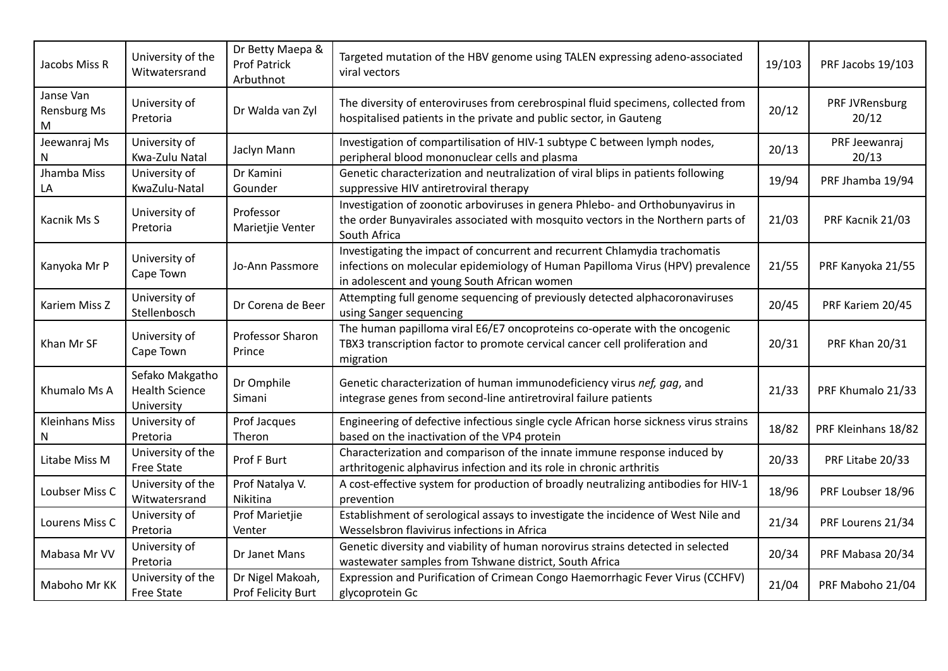| Jacobs Miss R                 | University of the<br>Witwatersrand                     | Dr Betty Maepa &<br><b>Prof Patrick</b><br>Arbuthnot | Targeted mutation of the HBV genome using TALEN expressing adeno-associated<br>viral vectors                                                                                                                | 19/103 | PRF Jacobs 19/103       |
|-------------------------------|--------------------------------------------------------|------------------------------------------------------|-------------------------------------------------------------------------------------------------------------------------------------------------------------------------------------------------------------|--------|-------------------------|
| Janse Van<br>Rensburg Ms<br>м | University of<br>Pretoria                              | Dr Walda van Zyl                                     | The diversity of enteroviruses from cerebrospinal fluid specimens, collected from<br>hospitalised patients in the private and public sector, in Gauteng                                                     | 20/12  | PRF JVRensburg<br>20/12 |
| Jeewanraj Ms<br>N             | University of<br>Kwa-Zulu Natal                        | Jaclyn Mann                                          | Investigation of compartilisation of HIV-1 subtype C between lymph nodes,<br>peripheral blood mononuclear cells and plasma                                                                                  | 20/13  | PRF Jeewanraj<br>20/13  |
| Jhamba Miss<br>LA             | University of<br>KwaZulu-Natal                         | Dr Kamini<br>Gounder                                 | Genetic characterization and neutralization of viral blips in patients following<br>suppressive HIV antiretroviral therapy                                                                                  | 19/94  | PRF Jhamba 19/94        |
| Kacnik Ms S                   | University of<br>Pretoria                              | Professor<br>Marietjie Venter                        | Investigation of zoonotic arboviruses in genera Phlebo- and Orthobunyavirus in<br>the order Bunyavirales associated with mosquito vectors in the Northern parts of<br>South Africa                          | 21/03  | PRF Kacnik 21/03        |
| Kanyoka Mr P                  | University of<br>Cape Town                             | Jo-Ann Passmore                                      | Investigating the impact of concurrent and recurrent Chlamydia trachomatis<br>infections on molecular epidemiology of Human Papilloma Virus (HPV) prevalence<br>in adolescent and young South African women | 21/55  | PRF Kanyoka 21/55       |
| Kariem Miss Z                 | University of<br>Stellenbosch                          | Dr Corena de Beer                                    | Attempting full genome sequencing of previously detected alphacoronaviruses<br>using Sanger sequencing                                                                                                      | 20/45  | PRF Kariem 20/45        |
| Khan Mr SF                    | University of<br>Cape Town                             | Professor Sharon<br>Prince                           | The human papilloma viral E6/E7 oncoproteins co-operate with the oncogenic<br>TBX3 transcription factor to promote cervical cancer cell proliferation and<br>migration                                      | 20/31  | <b>PRF Khan 20/31</b>   |
| Khumalo Ms A                  | Sefako Makgatho<br><b>Health Science</b><br>University | Dr Omphile<br>Simani                                 | Genetic characterization of human immunodeficiency virus nef, gag, and<br>integrase genes from second-line antiretroviral failure patients                                                                  | 21/33  | PRF Khumalo 21/33       |
| <b>Kleinhans Miss</b><br>N    | University of<br>Pretoria                              | Prof Jacques<br>Theron                               | Engineering of defective infectious single cycle African horse sickness virus strains<br>based on the inactivation of the VP4 protein                                                                       | 18/82  | PRF Kleinhans 18/82     |
| Litabe Miss M                 | University of the<br><b>Free State</b>                 | Prof F Burt                                          | Characterization and comparison of the innate immune response induced by<br>arthritogenic alphavirus infection and its role in chronic arthritis                                                            | 20/33  | PRF Litabe 20/33        |
| Loubser Miss C                | University of the<br>Witwatersrand                     | Prof Natalya V.<br>Nikitina                          | A cost-effective system for production of broadly neutralizing antibodies for HIV-1<br>prevention                                                                                                           | 18/96  | PRF Loubser 18/96       |
| Lourens Miss C                | University of<br>Pretoria                              | Prof Marietjie<br>Venter                             | Establishment of serological assays to investigate the incidence of West Nile and<br>Wesselsbron flavivirus infections in Africa                                                                            | 21/34  | PRF Lourens 21/34       |
| Mabasa Mr VV                  | University of<br>Pretoria                              | Dr Janet Mans                                        | Genetic diversity and viability of human norovirus strains detected in selected<br>wastewater samples from Tshwane district, South Africa                                                                   | 20/34  | PRF Mabasa 20/34        |
| Maboho Mr KK                  | University of the<br>Free State                        | Dr Nigel Makoah,<br>Prof Felicity Burt               | Expression and Purification of Crimean Congo Haemorrhagic Fever Virus (CCHFV)<br>glycoprotein Gc                                                                                                            | 21/04  | PRF Maboho 21/04        |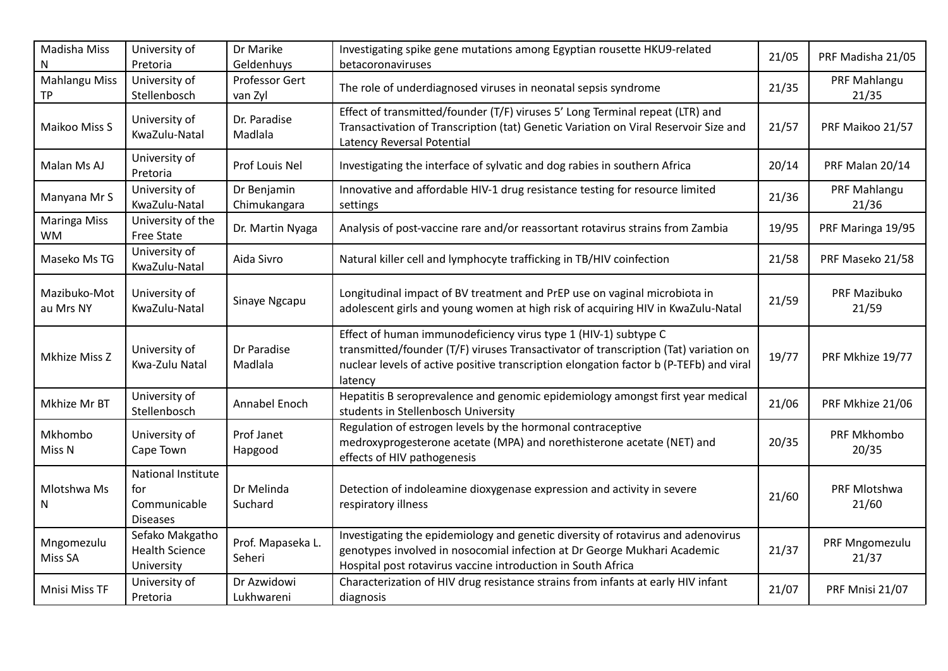| Madisha Miss<br>N                | University of<br>Pretoria                                    | Dr Marike<br>Geldenhuys     | Investigating spike gene mutations among Egyptian rousette HKU9-related<br>betacoronaviruses                                                                                                                                                                 | 21/05 | PRF Madisha 21/05       |
|----------------------------------|--------------------------------------------------------------|-----------------------------|--------------------------------------------------------------------------------------------------------------------------------------------------------------------------------------------------------------------------------------------------------------|-------|-------------------------|
| <b>Mahlangu Miss</b><br>ТP       | University of<br>Stellenbosch                                | Professor Gert<br>van Zyl   | The role of underdiagnosed viruses in neonatal sepsis syndrome                                                                                                                                                                                               | 21/35 | PRF Mahlangu<br>21/35   |
| Maikoo Miss S                    | University of<br>KwaZulu-Natal                               | Dr. Paradise<br>Madlala     | Effect of transmitted/founder (T/F) viruses 5' Long Terminal repeat (LTR) and<br>Transactivation of Transcription (tat) Genetic Variation on Viral Reservoir Size and<br>Latency Reversal Potential                                                          | 21/57 | PRF Maikoo 21/57        |
| Malan Ms AJ                      | University of<br>Pretoria                                    | Prof Louis Nel              | Investigating the interface of sylvatic and dog rabies in southern Africa                                                                                                                                                                                    | 20/14 | PRF Malan 20/14         |
| Manyana Mr S                     | University of<br>KwaZulu-Natal                               | Dr Benjamin<br>Chimukangara | Innovative and affordable HIV-1 drug resistance testing for resource limited<br>settings                                                                                                                                                                     | 21/36 | PRF Mahlangu<br>21/36   |
| <b>Maringa Miss</b><br><b>WM</b> | University of the<br>Free State                              | Dr. Martin Nyaga            | Analysis of post-vaccine rare and/or reassortant rotavirus strains from Zambia                                                                                                                                                                               | 19/95 | PRF Maringa 19/95       |
| Maseko Ms TG                     | University of<br>KwaZulu-Natal                               | Aida Sivro                  | Natural killer cell and lymphocyte trafficking in TB/HIV coinfection                                                                                                                                                                                         | 21/58 | PRF Maseko 21/58        |
| Mazibuko-Mot<br>au Mrs NY        | University of<br>KwaZulu-Natal                               | Sinaye Ngcapu               | Longitudinal impact of BV treatment and PrEP use on vaginal microbiota in<br>adolescent girls and young women at high risk of acquiring HIV in KwaZulu-Natal                                                                                                 | 21/59 | PRF Mazibuko<br>21/59   |
| Mkhize Miss Z                    | University of<br>Kwa-Zulu Natal                              | Dr Paradise<br>Madlala      | Effect of human immunodeficiency virus type 1 (HIV-1) subtype C<br>transmitted/founder (T/F) viruses Transactivator of transcription (Tat) variation on<br>nuclear levels of active positive transcription elongation factor b (P-TEFb) and viral<br>latency | 19/77 | PRF Mkhize 19/77        |
| Mkhize Mr BT                     | University of<br>Stellenbosch                                | Annabel Enoch               | Hepatitis B seroprevalence and genomic epidemiology amongst first year medical<br>students in Stellenbosch University                                                                                                                                        | 21/06 | PRF Mkhize 21/06        |
| Mkhombo<br>Miss N                | University of<br>Cape Town                                   | Prof Janet<br>Hapgood       | Regulation of estrogen levels by the hormonal contraceptive<br>medroxyprogesterone acetate (MPA) and norethisterone acetate (NET) and<br>effects of HIV pathogenesis                                                                                         | 20/35 | PRF Mkhombo<br>20/35    |
| Mlotshwa Ms<br>N                 | National Institute<br>for<br>Communicable<br><b>Diseases</b> | Dr Melinda<br>Suchard       | Detection of indoleamine dioxygenase expression and activity in severe<br>respiratory illness                                                                                                                                                                | 21/60 | PRF Mlotshwa<br>21/60   |
| Mngomezulu<br>Miss SA            | Sefako Makgatho<br><b>Health Science</b><br>University       | Prof. Mapaseka L.<br>Seheri | Investigating the epidemiology and genetic diversity of rotavirus and adenovirus<br>genotypes involved in nosocomial infection at Dr George Mukhari Academic<br>Hospital post rotavirus vaccine introduction in South Africa                                 | 21/37 | PRF Mngomezulu<br>21/37 |
| Mnisi Miss TF                    | University of<br>Pretoria                                    | Dr Azwidowi<br>Lukhwareni   | Characterization of HIV drug resistance strains from infants at early HIV infant<br>diagnosis                                                                                                                                                                | 21/07 | PRF Mnisi 21/07         |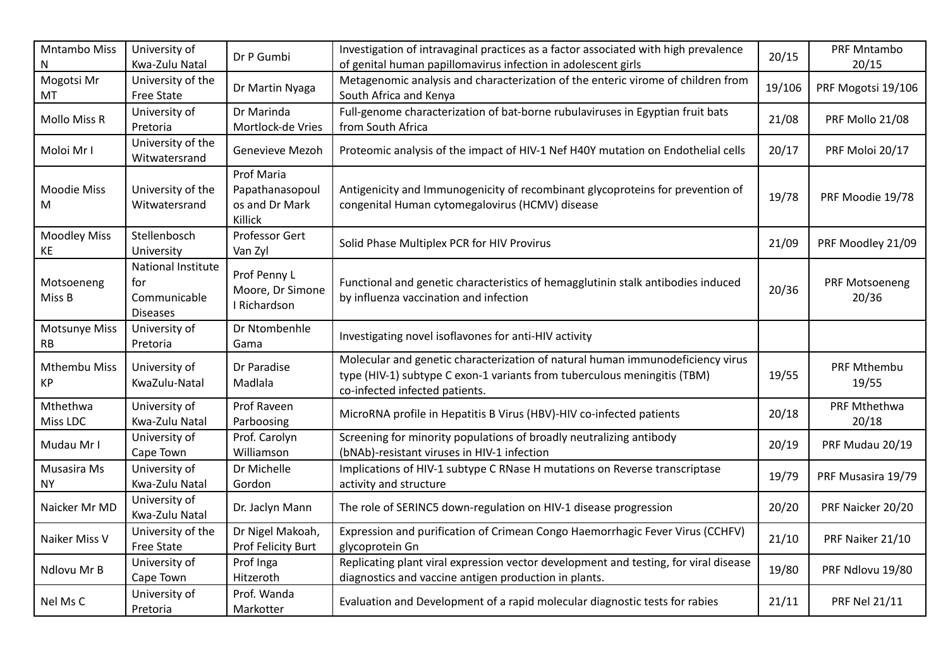| Mntambo Miss<br>N                 | University of<br>Kwa-Zulu Natal                                     | Dr P Gumbi                                                        | Investigation of intravaginal practices as a factor associated with high prevalence<br>of genital human papillomavirus infection in adolescent girls                                         | 20/15  | PRF Mntambo<br>20/15    |
|-----------------------------------|---------------------------------------------------------------------|-------------------------------------------------------------------|----------------------------------------------------------------------------------------------------------------------------------------------------------------------------------------------|--------|-------------------------|
| Mogotsi Mr<br>MT                  | University of the<br><b>Free State</b>                              | Dr Martin Nyaga                                                   | Metagenomic analysis and characterization of the enteric virome of children from<br>South Africa and Kenya                                                                                   | 19/106 | PRF Mogotsi 19/106      |
| <b>Mollo Miss R</b>               | University of<br>Pretoria                                           | Dr Marinda<br>Mortlock-de Vries                                   | Full-genome characterization of bat-borne rubulaviruses in Egyptian fruit bats<br>from South Africa                                                                                          | 21/08  | PRF Mollo 21/08         |
| Moloi Mr I                        | University of the<br>Witwatersrand                                  | Genevieve Mezoh                                                   | Proteomic analysis of the impact of HIV-1 Nef H40Y mutation on Endothelial cells                                                                                                             | 20/17  | PRF Moloi 20/17         |
| <b>Moodie Miss</b><br>M           | University of the<br>Witwatersrand                                  | <b>Prof Maria</b><br>Papathanasopoul<br>os and Dr Mark<br>Killick | Antigenicity and Immunogenicity of recombinant glycoproteins for prevention of<br>congenital Human cytomegalovirus (HCMV) disease                                                            | 19/78  | PRF Moodie 19/78        |
| <b>Moodley Miss</b><br>KE         | Stellenbosch<br>University                                          | Professor Gert<br>Van Zyl                                         | Solid Phase Multiplex PCR for HIV Provirus                                                                                                                                                   | 21/09  | PRF Moodley 21/09       |
| Motsoeneng<br>Miss B              | <b>National Institute</b><br>for<br>Communicable<br><b>Diseases</b> | Prof Penny L<br>Moore, Dr Simone<br>I Richardson                  | Functional and genetic characteristics of hemagglutinin stalk antibodies induced<br>by influenza vaccination and infection                                                                   | 20/36  | PRF Motsoeneng<br>20/36 |
| <b>Motsunye Miss</b><br><b>RB</b> | University of<br>Pretoria                                           | Dr Ntombenhle<br>Gama                                             | Investigating novel isoflavones for anti-HIV activity                                                                                                                                        |        |                         |
| <b>Mthembu Miss</b><br>KP         | University of<br>KwaZulu-Natal                                      | Dr Paradise<br>Madlala                                            | Molecular and genetic characterization of natural human immunodeficiency virus<br>type (HIV-1) subtype C exon-1 variants from tuberculous meningitis (TBM)<br>co-infected infected patients. | 19/55  | PRF Mthembu<br>19/55    |
| Mthethwa<br>Miss LDC              | University of<br>Kwa-Zulu Natal                                     | Prof Raveen<br>Parboosing                                         | MicroRNA profile in Hepatitis B Virus (HBV)-HIV co-infected patients                                                                                                                         | 20/18  | PRF Mthethwa<br>20/18   |
| Mudau Mr I                        | University of<br>Cape Town                                          | Prof. Carolyn<br>Williamson                                       | Screening for minority populations of broadly neutralizing antibody<br>(bNAb)-resistant viruses in HIV-1 infection                                                                           | 20/19  | PRF Mudau 20/19         |
| Musasira Ms<br><b>NY</b>          | University of<br>Kwa-Zulu Natal                                     | Dr Michelle<br>Gordon                                             | Implications of HIV-1 subtype C RNase H mutations on Reverse transcriptase<br>activity and structure                                                                                         | 19/79  | PRF Musasira 19/79      |
| Naicker Mr MD                     | University of<br>Kwa-Zulu Natal                                     | Dr. Jaclyn Mann                                                   | The role of SERINC5 down-regulation on HIV-1 disease progression                                                                                                                             | 20/20  | PRF Naicker 20/20       |
| Naiker Miss V                     | University of the<br><b>Free State</b>                              | Dr Nigel Makoah,<br>Prof Felicity Burt                            | Expression and purification of Crimean Congo Haemorrhagic Fever Virus (CCHFV)<br>glycoprotein Gn                                                                                             | 21/10  | PRF Naiker 21/10        |
| Ndlovu Mr B                       | University of<br>Cape Town                                          | Prof Inga<br>Hitzeroth                                            | Replicating plant viral expression vector development and testing, for viral disease<br>diagnostics and vaccine antigen production in plants.                                                | 19/80  | PRF Ndlovu 19/80        |
| Nel Ms C                          | University of<br>Pretoria                                           | Prof. Wanda<br>Markotter                                          | Evaluation and Development of a rapid molecular diagnostic tests for rabies                                                                                                                  | 21/11  | <b>PRF Nel 21/11</b>    |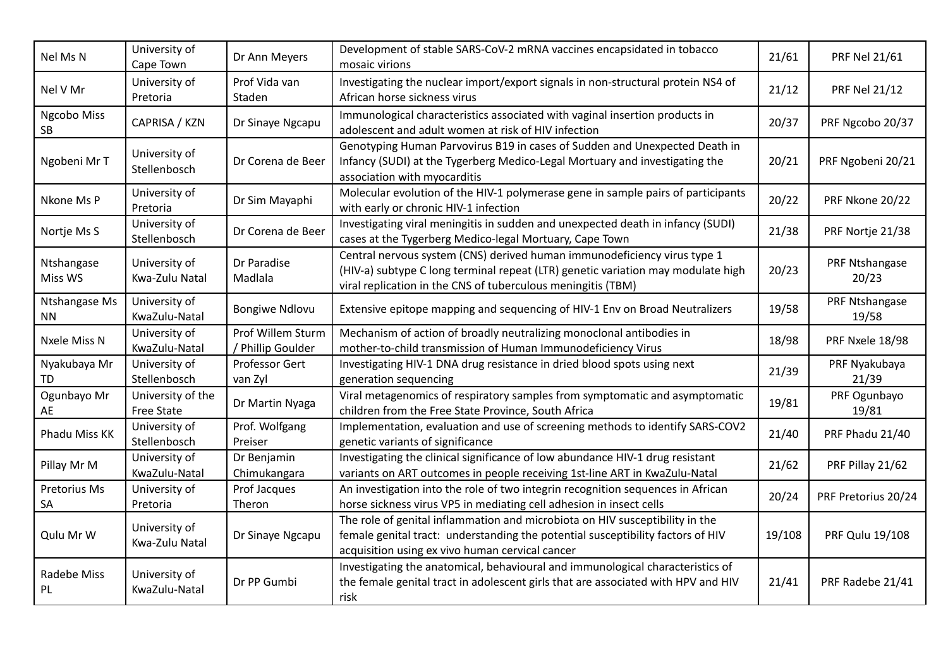| Nel Ms N                   | University of<br>Cape Town      | Dr Ann Meyers                          | Development of stable SARS-CoV-2 mRNA vaccines encapsidated in tobacco<br>mosaic virions                                                                                                                                     | 21/61  | <b>PRF Nel 21/61</b>    |
|----------------------------|---------------------------------|----------------------------------------|------------------------------------------------------------------------------------------------------------------------------------------------------------------------------------------------------------------------------|--------|-------------------------|
| Nel V Mr                   | University of<br>Pretoria       | Prof Vida van<br>Staden                | Investigating the nuclear import/export signals in non-structural protein NS4 of<br>African horse sickness virus                                                                                                             | 21/12  | <b>PRF Nel 21/12</b>    |
| Ngcobo Miss<br>SB          | CAPRISA / KZN                   | Dr Sinaye Ngcapu                       | Immunological characteristics associated with vaginal insertion products in<br>adolescent and adult women at risk of HIV infection                                                                                           | 20/37  | PRF Ngcobo 20/37        |
| Ngobeni Mr T               | University of<br>Stellenbosch   | Dr Corena de Beer                      | Genotyping Human Parvovirus B19 in cases of Sudden and Unexpected Death in<br>Infancy (SUDI) at the Tygerberg Medico-Legal Mortuary and investigating the<br>association with myocarditis                                    | 20/21  | PRF Ngobeni 20/21       |
| Nkone Ms P                 | University of<br>Pretoria       | Dr Sim Mayaphi                         | Molecular evolution of the HIV-1 polymerase gene in sample pairs of participants<br>with early or chronic HIV-1 infection                                                                                                    | 20/22  | PRF Nkone 20/22         |
| Nortje Ms S                | University of<br>Stellenbosch   | Dr Corena de Beer                      | Investigating viral meningitis in sudden and unexpected death in infancy (SUDI)<br>cases at the Tygerberg Medico-legal Mortuary, Cape Town                                                                                   | 21/38  | PRF Nortje 21/38        |
| Ntshangase<br>Miss WS      | University of<br>Kwa-Zulu Natal | Dr Paradise<br>Madlala                 | Central nervous system (CNS) derived human immunodeficiency virus type 1<br>(HIV-a) subtype C long terminal repeat (LTR) genetic variation may modulate high<br>viral replication in the CNS of tuberculous meningitis (TBM) | 20/23  | PRF Ntshangase<br>20/23 |
| Ntshangase Ms<br><b>NN</b> | University of<br>KwaZulu-Natal  | <b>Bongiwe Ndlovu</b>                  | Extensive epitope mapping and sequencing of HIV-1 Env on Broad Neutralizers                                                                                                                                                  | 19/58  | PRF Ntshangase<br>19/58 |
| Nxele Miss N               | University of<br>KwaZulu-Natal  | Prof Willem Sturm<br>/ Phillip Goulder | Mechanism of action of broadly neutralizing monoclonal antibodies in<br>mother-to-child transmission of Human Immunodeficiency Virus                                                                                         | 18/98  | PRF Nxele 18/98         |
| Nyakubaya Mr<br>TD         | University of<br>Stellenbosch   | Professor Gert<br>van Zyl              | Investigating HIV-1 DNA drug resistance in dried blood spots using next<br>generation sequencing                                                                                                                             | 21/39  | PRF Nyakubaya<br>21/39  |
| Ogunbayo Mr<br>AЕ          | University of the<br>Free State | Dr Martin Nyaga                        | Viral metagenomics of respiratory samples from symptomatic and asymptomatic<br>children from the Free State Province, South Africa                                                                                           | 19/81  | PRF Ogunbayo<br>19/81   |
| Phadu Miss KK              | University of<br>Stellenbosch   | Prof. Wolfgang<br>Preiser              | Implementation, evaluation and use of screening methods to identify SARS-COV2<br>genetic variants of significance                                                                                                            | 21/40  | PRF Phadu 21/40         |
| Pillay Mr M                | University of<br>KwaZulu-Natal  | Dr Benjamin<br>Chimukangara            | Investigating the clinical significance of low abundance HIV-1 drug resistant<br>variants on ART outcomes in people receiving 1st-line ART in KwaZulu-Natal                                                                  | 21/62  | PRF Pillay 21/62        |
| Pretorius Ms<br>SA         | University of<br>Pretoria       | Prof Jacques<br>Theron                 | An investigation into the role of two integrin recognition sequences in African<br>horse sickness virus VP5 in mediating cell adhesion in insect cells                                                                       | 20/24  | PRF Pretorius 20/24     |
| Qulu Mr W                  | University of<br>Kwa-Zulu Natal | Dr Sinaye Ngcapu                       | The role of genital inflammation and microbiota on HIV susceptibility in the<br>female genital tract: understanding the potential susceptibility factors of HIV<br>acquisition using ex vivo human cervical cancer           | 19/108 | PRF Qulu 19/108         |
| Radebe Miss<br>PL          | University of<br>KwaZulu-Natal  | Dr PP Gumbi                            | Investigating the anatomical, behavioural and immunological characteristics of<br>the female genital tract in adolescent girls that are associated with HPV and HIV<br>risk                                                  | 21/41  | PRF Radebe 21/41        |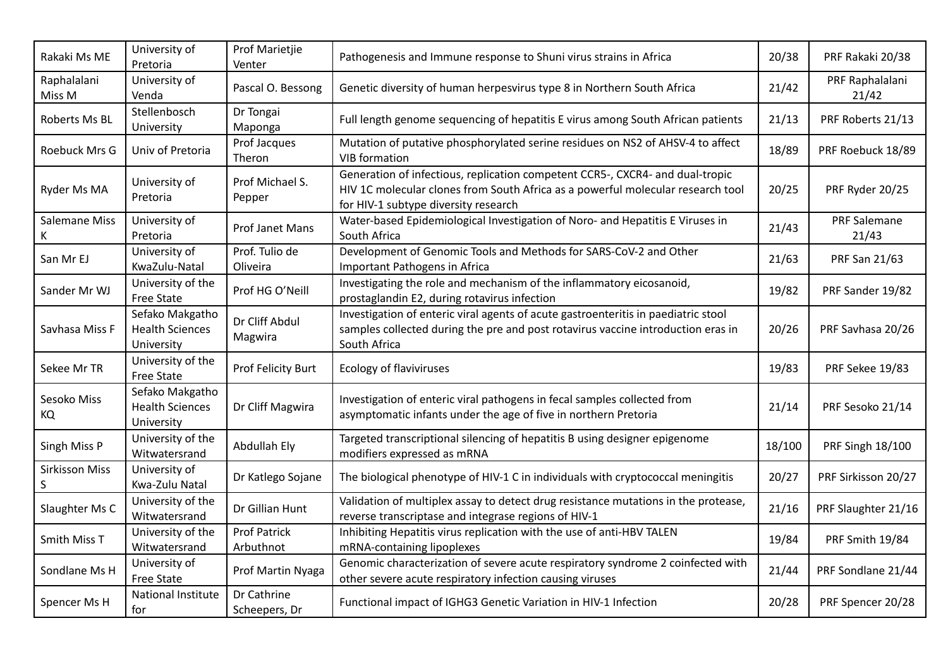| Rakaki Ms ME               | University of<br>Pretoria                               | Prof Marietjie<br>Venter         | Pathogenesis and Immune response to Shuni virus strains in Africa                                                                                                                                        | 20/38  | PRF Rakaki 20/38             |
|----------------------------|---------------------------------------------------------|----------------------------------|----------------------------------------------------------------------------------------------------------------------------------------------------------------------------------------------------------|--------|------------------------------|
| Raphalalani<br>Miss M      | University of<br>Venda                                  | Pascal O. Bessong                | Genetic diversity of human herpesvirus type 8 in Northern South Africa                                                                                                                                   | 21/42  | PRF Raphalalani<br>21/42     |
| Roberts Ms BL              | Stellenbosch<br>University                              | Dr Tongai<br>Maponga             | Full length genome sequencing of hepatitis E virus among South African patients                                                                                                                          | 21/13  | PRF Roberts 21/13            |
| Roebuck Mrs G              | Univ of Pretoria                                        | Prof Jacques<br>Theron           | Mutation of putative phosphorylated serine residues on NS2 of AHSV-4 to affect<br><b>VIB</b> formation                                                                                                   | 18/89  | PRF Roebuck 18/89            |
| Ryder Ms MA                | University of<br>Pretoria                               | Prof Michael S.<br>Pepper        | Generation of infectious, replication competent CCR5-, CXCR4- and dual-tropic<br>HIV 1C molecular clones from South Africa as a powerful molecular research tool<br>for HIV-1 subtype diversity research | 20/25  | PRF Ryder 20/25              |
| Salemane Miss<br>K.        | University of<br>Pretoria                               | Prof Janet Mans                  | Water-based Epidemiological Investigation of Noro- and Hepatitis E Viruses in<br>South Africa                                                                                                            | 21/43  | <b>PRF Salemane</b><br>21/43 |
| San Mr EJ                  | University of<br>KwaZulu-Natal                          | Prof. Tulio de<br>Oliveira       | Development of Genomic Tools and Methods for SARS-CoV-2 and Other<br>Important Pathogens in Africa                                                                                                       | 21/63  | PRF San 21/63                |
| Sander Mr WJ               | University of the<br><b>Free State</b>                  | Prof HG O'Neill                  | Investigating the role and mechanism of the inflammatory eicosanoid,<br>prostaglandin E2, during rotavirus infection                                                                                     | 19/82  | PRF Sander 19/82             |
| Savhasa Miss F             | Sefako Makgatho<br><b>Health Sciences</b><br>University | Dr Cliff Abdul<br>Magwira        | Investigation of enteric viral agents of acute gastroenteritis in paediatric stool<br>samples collected during the pre and post rotavirus vaccine introduction eras in<br>South Africa                   | 20/26  | PRF Savhasa 20/26            |
| Sekee Mr TR                | University of the<br>Free State                         | Prof Felicity Burt               | Ecology of flaviviruses                                                                                                                                                                                  | 19/83  | PRF Sekee 19/83              |
| Sesoko Miss<br>KQ.         | Sefako Makgatho<br><b>Health Sciences</b><br>University | Dr Cliff Magwira                 | Investigation of enteric viral pathogens in fecal samples collected from<br>asymptomatic infants under the age of five in northern Pretoria                                                              | 21/14  | PRF Sesoko 21/14             |
| Singh Miss P               | University of the<br>Witwatersrand                      | Abdullah Ely                     | Targeted transcriptional silencing of hepatitis B using designer epigenome<br>modifiers expressed as mRNA                                                                                                | 18/100 | PRF Singh 18/100             |
| <b>Sirkisson Miss</b><br>S | University of<br>Kwa-Zulu Natal                         | Dr Katlego Sojane                | The biological phenotype of HIV-1 C in individuals with cryptococcal meningitis                                                                                                                          | 20/27  | PRF Sirkisson 20/27          |
| Slaughter Ms C             | University of the<br>Witwatersrand                      | Dr Gillian Hunt                  | Validation of multiplex assay to detect drug resistance mutations in the protease,<br>reverse transcriptase and integrase regions of HIV-1                                                               | 21/16  | PRF Slaughter 21/16          |
| Smith Miss T               | University of the<br>Witwatersrand                      | <b>Prof Patrick</b><br>Arbuthnot | Inhibiting Hepatitis virus replication with the use of anti-HBV TALEN<br>mRNA-containing lipoplexes                                                                                                      | 19/84  | PRF Smith 19/84              |
| Sondlane Ms H              | University of<br><b>Free State</b>                      | Prof Martin Nyaga                | Genomic characterization of severe acute respiratory syndrome 2 coinfected with<br>other severe acute respiratory infection causing viruses                                                              | 21/44  | PRF Sondlane 21/44           |
| Spencer Ms H               | National Institute<br>for                               | Dr Cathrine<br>Scheepers, Dr     | Functional impact of IGHG3 Genetic Variation in HIV-1 Infection                                                                                                                                          | 20/28  | PRF Spencer 20/28            |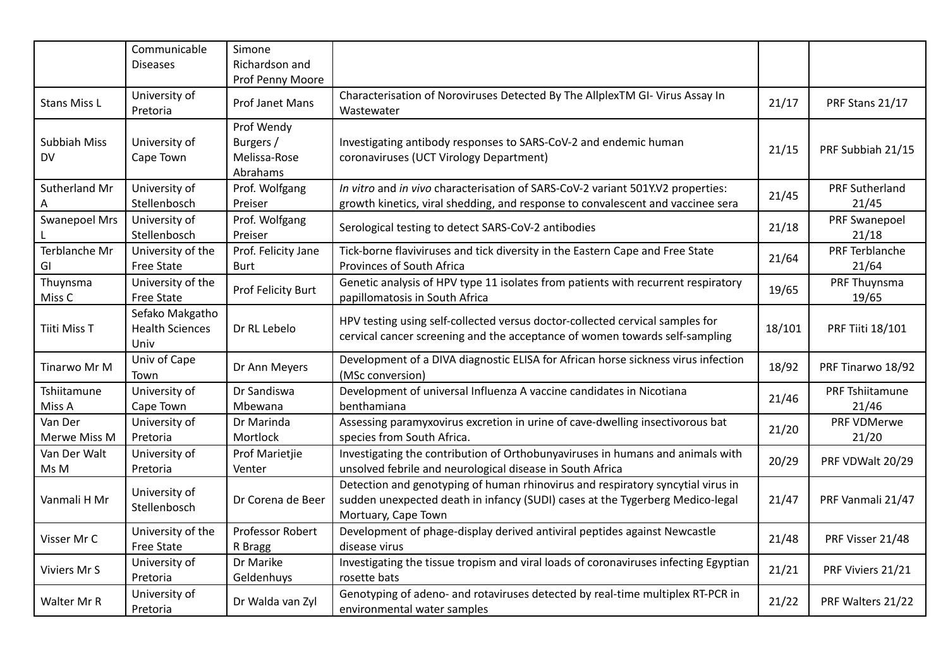|                               | Communicable<br><b>Diseases</b>                   | Simone<br>Richardson and                            |                                                                                                                                                                                         |        |                                |
|-------------------------------|---------------------------------------------------|-----------------------------------------------------|-----------------------------------------------------------------------------------------------------------------------------------------------------------------------------------------|--------|--------------------------------|
| <b>Stans Miss L</b>           | University of<br>Pretoria                         | Prof Penny Moore<br>Prof Janet Mans                 | Characterisation of Noroviruses Detected By The AllplexTM GI- Virus Assay In<br>Wastewater                                                                                              | 21/17  | PRF Stans 21/17                |
| Subbiah Miss<br>DV.           | University of<br>Cape Town                        | Prof Wendy<br>Burgers /<br>Melissa-Rose<br>Abrahams | Investigating antibody responses to SARS-CoV-2 and endemic human<br>coronaviruses (UCT Virology Department)                                                                             | 21/15  | PRF Subbiah 21/15              |
| Sutherland Mr                 | University of<br>Stellenbosch                     | Prof. Wolfgang<br>Preiser                           | In vitro and in vivo characterisation of SARS-CoV-2 variant 501Y.V2 properties:<br>growth kinetics, viral shedding, and response to convalescent and vaccinee sera                      | 21/45  | <b>PRF Sutherland</b><br>21/45 |
| <b>Swanepoel Mrs</b>          | University of<br>Stellenbosch                     | Prof. Wolfgang<br>Preiser                           | Serological testing to detect SARS-CoV-2 antibodies                                                                                                                                     | 21/18  | PRF Swanepoel<br>21/18         |
| Terblanche Mr<br>GI           | University of the<br>Free State                   | Prof. Felicity Jane<br><b>Burt</b>                  | Tick-borne flaviviruses and tick diversity in the Eastern Cape and Free State<br>Provinces of South Africa                                                                              | 21/64  | PRF Terblanche<br>21/64        |
| Thuynsma<br>Miss <sub>C</sub> | University of the<br>Free State                   | Prof Felicity Burt                                  | Genetic analysis of HPV type 11 isolates from patients with recurrent respiratory<br>papillomatosis in South Africa                                                                     | 19/65  | PRF Thuynsma<br>19/65          |
| Tiiti Miss T                  | Sefako Makgatho<br><b>Health Sciences</b><br>Univ | Dr RL Lebelo                                        | HPV testing using self-collected versus doctor-collected cervical samples for<br>cervical cancer screening and the acceptance of women towards self-sampling                            | 18/101 | <b>PRF Tiiti 18/101</b>        |
| Tinarwo Mr M                  | Univ of Cape<br>Town                              | Dr Ann Meyers                                       | Development of a DIVA diagnostic ELISA for African horse sickness virus infection<br>(MSc conversion)                                                                                   | 18/92  | PRF Tinarwo 18/92              |
| Tshiitamune<br>Miss A         | University of<br>Cape Town                        | Dr Sandiswa<br>Mbewana                              | Development of universal Influenza A vaccine candidates in Nicotiana<br>benthamiana                                                                                                     | 21/46  | PRF Tshiitamune<br>21/46       |
| Van Der<br>Merwe Miss M       | University of<br>Pretoria                         | Dr Marinda<br>Mortlock                              | Assessing paramyxovirus excretion in urine of cave-dwelling insectivorous bat<br>species from South Africa.                                                                             | 21/20  | PRF VDMerwe<br>21/20           |
| Van Der Walt<br>Ms M          | University of<br>Pretoria                         | Prof Marietjie<br>Venter                            | Investigating the contribution of Orthobunyaviruses in humans and animals with<br>unsolved febrile and neurological disease in South Africa                                             | 20/29  | PRF VDWalt 20/29               |
| Vanmali H Mr                  | University of<br>Stellenbosch                     | Dr Corena de Beer                                   | Detection and genotyping of human rhinovirus and respiratory syncytial virus in<br>sudden unexpected death in infancy (SUDI) cases at the Tygerberg Medico-legal<br>Mortuary, Cape Town | 21/47  | PRF Vanmali 21/47              |
| Visser Mr C                   | University of the<br><b>Free State</b>            | Professor Robert<br>R Bragg                         | Development of phage-display derived antiviral peptides against Newcastle<br>disease virus                                                                                              | 21/48  | PRF Visser 21/48               |
| Viviers Mr S                  | University of<br>Pretoria                         | Dr Marike<br>Geldenhuys                             | Investigating the tissue tropism and viral loads of coronaviruses infecting Egyptian<br>rosette bats                                                                                    | 21/21  | PRF Viviers 21/21              |
| Walter Mr R                   | University of<br>Pretoria                         | Dr Walda van Zyl                                    | Genotyping of adeno- and rotaviruses detected by real-time multiplex RT-PCR in<br>environmental water samples                                                                           | 21/22  | PRF Walters 21/22              |